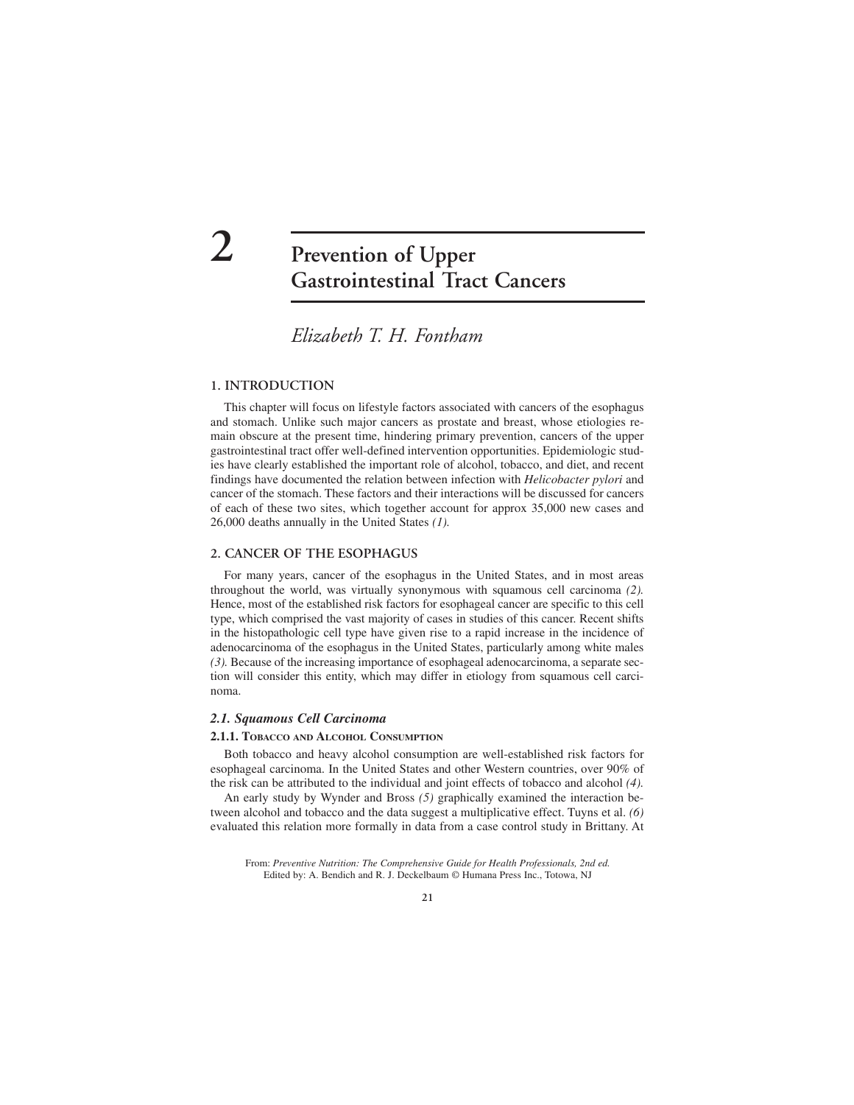# **2 Prevention of Upper Gastrointestinal Tract Cancers**

## *Elizabeth T. H. Fontham*

### **1. INTRODUCTION**

This chapter will focus on lifestyle factors associated with cancers of the esophagus and stomach. Unlike such major cancers as prostate and breast, whose etiologies remain obscure at the present time, hindering primary prevention, cancers of the upper gastrointestinal tract offer well-defined intervention opportunities. Epidemiologic studies have clearly established the important role of alcohol, tobacco, and diet, and recent findings have documented the relation between infection with *Helicobacter pylori* and cancer of the stomach. These factors and their interactions will be discussed for cancers of each of these two sites, which together account for approx 35,000 new cases and 26,000 deaths annually in the United States *(1).*

#### **2. CANCER OF THE ESOPHAGUS**

For many years, cancer of the esophagus in the United States, and in most areas throughout the world, was virtually synonymous with squamous cell carcinoma *(2).* Hence, most of the established risk factors for esophageal cancer are specific to this cell type, which comprised the vast majority of cases in studies of this cancer. Recent shifts in the histopathologic cell type have given rise to a rapid increase in the incidence of adenocarcinoma of the esophagus in the United States, particularly among white males *(3).* Because of the increasing importance of esophageal adenocarcinoma, a separate section will consider this entity, which may differ in etiology from squamous cell carcinoma.

#### *2.1. Squamous Cell Carcinoma*

#### **2.1.1. TOBACCO AND ALCOHOL CONSUMPTION**

Both tobacco and heavy alcohol consumption are well-established risk factors for esophageal carcinoma. In the United States and other Western countries, over 90% of the risk can be attributed to the individual and joint effects of tobacco and alcohol *(4).*

An early study by Wynder and Bross *(5)* graphically examined the interaction between alcohol and tobacco and the data suggest a multiplicative effect. Tuyns et al. *(6)* evaluated this relation more formally in data from a case control study in Brittany. At

From: *Preventive Nutrition: The Comprehensive Guide for Health Professionals, 2nd ed.* Edited by: A. Bendich and R. J. Deckelbaum © Humana Press Inc., Totowa, NJ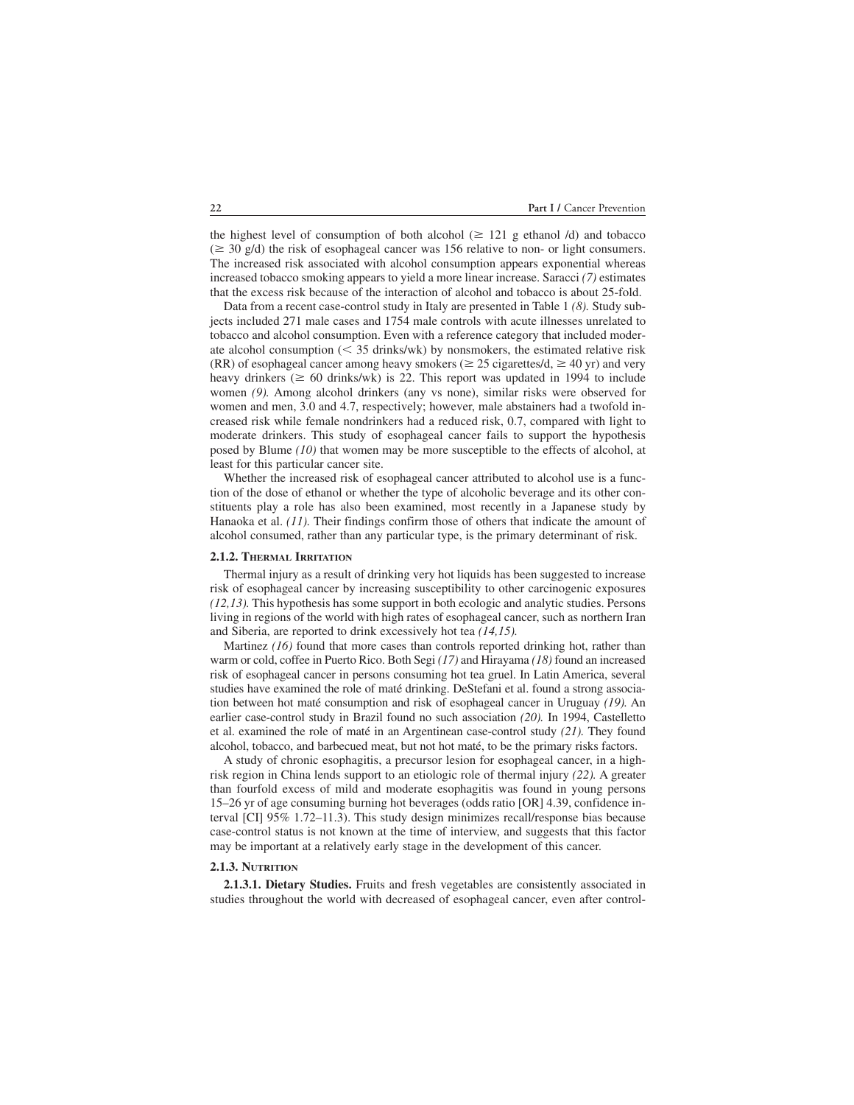the highest level of consumption of both alcohol  $(\geq 121 \text{ g}$  ethanol /d) and tobacco  $(\geq 30 \text{ g/d})$  the risk of esophageal cancer was 156 relative to non- or light consumers. The increased risk associated with alcohol consumption appears exponential whereas increased tobacco smoking appears to yield a more linear increase. Saracci *(7)* estimates that the excess risk because of the interaction of alcohol and tobacco is about 25-fold.

Data from a recent case-control study in Italy are presented in Table 1 *(8).* Study subjects included 271 male cases and 1754 male controls with acute illnesses unrelated to tobacco and alcohol consumption. Even with a reference category that included moderate alcohol consumption  $(< 35$  drinks/wk) by nonsmokers, the estimated relative risk (RR) of esophageal cancer among heavy smokers ( $\geq 25$  cigarettes/d,  $\geq 40$  yr) and very heavy drinkers ( $\geq 60$  drinks/wk) is 22. This report was updated in 1994 to include women *(9).* Among alcohol drinkers (any vs none), similar risks were observed for women and men, 3.0 and 4.7, respectively; however, male abstainers had a twofold increased risk while female nondrinkers had a reduced risk, 0.7, compared with light to moderate drinkers. This study of esophageal cancer fails to support the hypothesis posed by Blume *(10)* that women may be more susceptible to the effects of alcohol, at least for this particular cancer site.

Whether the increased risk of esophageal cancer attributed to alcohol use is a function of the dose of ethanol or whether the type of alcoholic beverage and its other constituents play a role has also been examined, most recently in a Japanese study by Hanaoka et al. *(11).* Their findings confirm those of others that indicate the amount of alcohol consumed, rather than any particular type, is the primary determinant of risk.

#### **2.1.2. THERMAL IRRITATION**

Thermal injury as a result of drinking very hot liquids has been suggested to increase risk of esophageal cancer by increasing susceptibility to other carcinogenic exposures *(12,13).* This hypothesis has some support in both ecologic and analytic studies. Persons living in regions of the world with high rates of esophageal cancer, such as northern Iran and Siberia, are reported to drink excessively hot tea *(14,15).*

Martinez (16) found that more cases than controls reported drinking hot, rather than warm or cold, coffee in Puerto Rico. Both Segi *(17)* and Hirayama *(18)* found an increased risk of esophageal cancer in persons consuming hot tea gruel. In Latin America, several studies have examined the role of maté drinking. DeStefani et al. found a strong association between hot maté consumption and risk of esophageal cancer in Uruguay *(19).* An earlier case-control study in Brazil found no such association *(20).* In 1994, Castelletto et al. examined the role of maté in an Argentinean case-control study *(21).* They found alcohol, tobacco, and barbecued meat, but not hot maté, to be the primary risks factors.

A study of chronic esophagitis, a precursor lesion for esophageal cancer, in a highrisk region in China lends support to an etiologic role of thermal injury *(22).* A greater than fourfold excess of mild and moderate esophagitis was found in young persons 15–26 yr of age consuming burning hot beverages (odds ratio [OR] 4.39, confidence interval [CI] 95% 1.72–11.3). This study design minimizes recall/response bias because case-control status is not known at the time of interview, and suggests that this factor may be important at a relatively early stage in the development of this cancer.

#### **2.1.3. NUTRITION**

**2.1.3.1. Dietary Studies.** Fruits and fresh vegetables are consistently associated in studies throughout the world with decreased of esophageal cancer, even after control-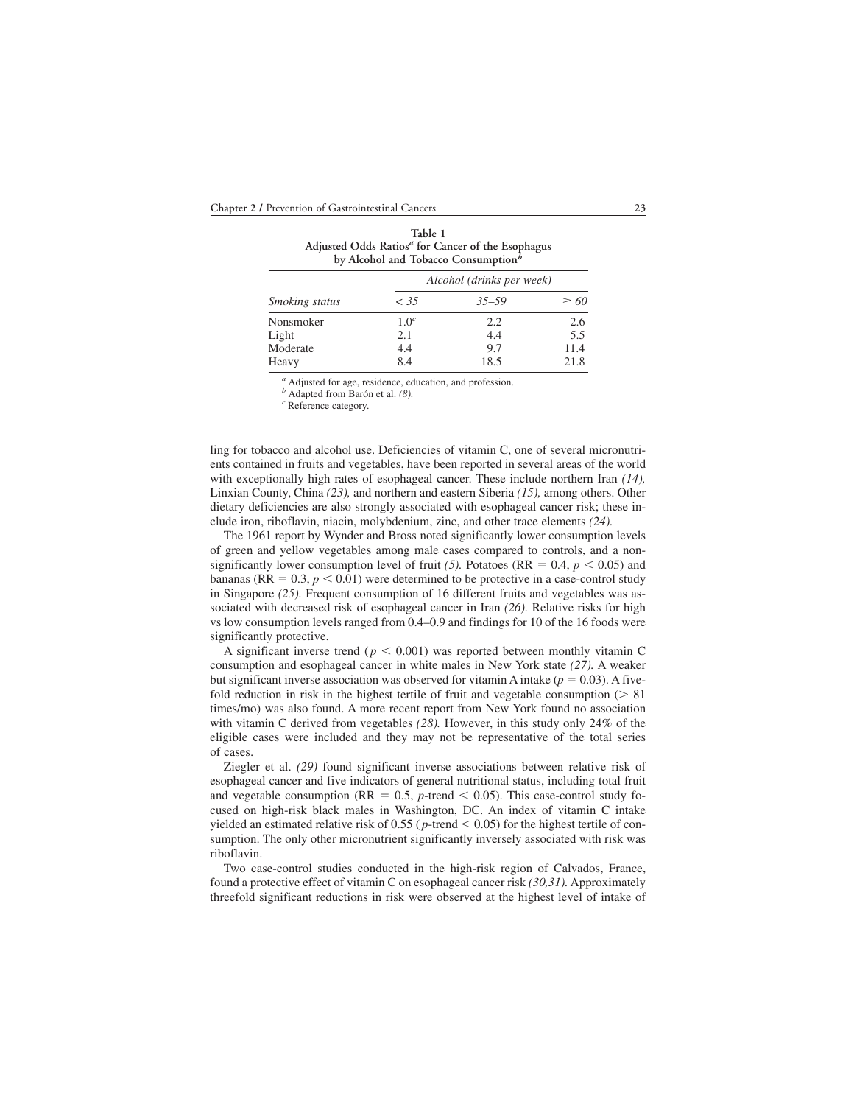| Adjusted Odds Ratios <sup>a</sup> for Cancer of the Esophagus<br>by Alcohol and Tobacco Consumption <sup>b</sup> |                           |           |           |  |  |
|------------------------------------------------------------------------------------------------------------------|---------------------------|-----------|-----------|--|--|
|                                                                                                                  | Alcohol (drinks per week) |           |           |  |  |
| <i>Smoking status</i>                                                                                            | < 35                      | $35 - 59$ | $\geq 60$ |  |  |
| Nonsmoker                                                                                                        | 1.0 <sup>c</sup>          | 2.2       | 2.6       |  |  |
| Light                                                                                                            | 2.1                       | 4.4       | 5.5       |  |  |
| Moderate                                                                                                         | 4.4                       | 9.7       | 11.4      |  |  |
| Heavy                                                                                                            | 8.4                       | 18.5      | 21.8      |  |  |

**Table 1**

*<sup>a</sup>* Adjusted for age, residence, education, and profession.

*<sup>b</sup>* Adapted from Barón et al. *(8). <sup>c</sup>* Reference category.

ling for tobacco and alcohol use. Deficiencies of vitamin C, one of several micronutrients contained in fruits and vegetables, have been reported in several areas of the world with exceptionally high rates of esophageal cancer. These include northern Iran *(14),* Linxian County, China *(23),* and northern and eastern Siberia *(15),* among others. Other dietary deficiencies are also strongly associated with esophageal cancer risk; these include iron, riboflavin, niacin, molybdenium, zinc, and other trace elements *(24).*

The 1961 report by Wynder and Bross noted significantly lower consumption levels of green and yellow vegetables among male cases compared to controls, and a nonsignificantly lower consumption level of fruit (5). Potatoes (RR =  $0.4$ ,  $p < 0.05$ ) and bananas (RR  $= 0.3$ ,  $p < 0.01$ ) were determined to be protective in a case-control study in Singapore (25). Frequent consumption of 16 different fruits and vegetables was associated with decreased risk of esophageal cancer in Iran *(26).* Relative risks for high vs low consumption levels ranged from 0.4–0.9 and findings for 10 of the 16 foods were significantly protective.

A significant inverse trend ( $p < 0.001$ ) was reported between monthly vitamin C consumption and esophageal cancer in white males in New York state *(27).* A weaker but significant inverse association was observed for vitamin A intake ( $p = 0.03$ ). A fivefold reduction in risk in the highest tertile of fruit and vegetable consumption  $($  > 81 times/mo) was also found. A more recent report from New York found no association with vitamin C derived from vegetables *(28).* However, in this study only 24% of the eligible cases were included and they may not be representative of the total series of cases.

Ziegler et al. *(29)* found significant inverse associations between relative risk of esophageal cancer and five indicators of general nutritional status, including total fruit and vegetable consumption ( $RR = 0.5$ , *p*-trend  $\leq 0.05$ ). This case-control study focused on high-risk black males in Washington, DC. An index of vitamin C intake yielded an estimated relative risk of  $0.55$  ( $p$ -trend  $< 0.05$ ) for the highest tertile of consumption. The only other micronutrient significantly inversely associated with risk was riboflavin.

Two case-control studies conducted in the high-risk region of Calvados, France, found a protective effect of vitamin C on esophageal cancer risk *(30,31).* Approximately threefold significant reductions in risk were observed at the highest level of intake of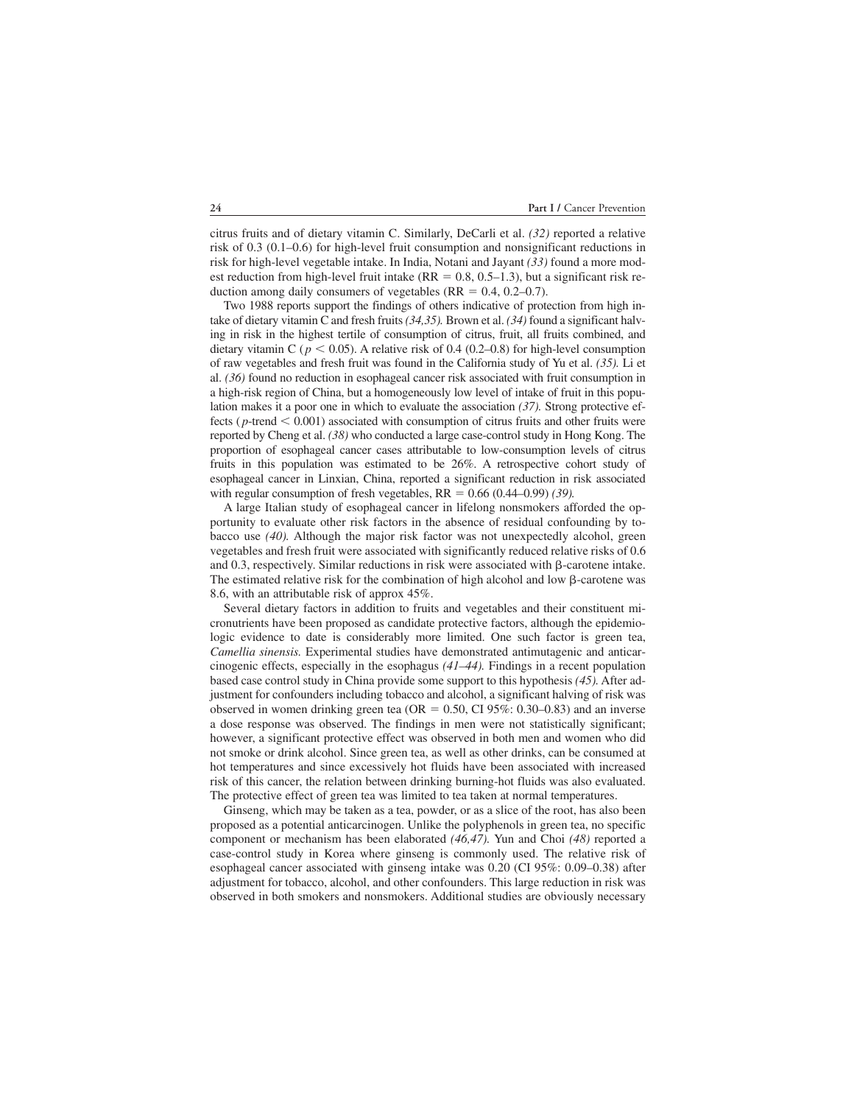citrus fruits and of dietary vitamin C. Similarly, DeCarli et al. *(32)* reported a relative risk of 0.3 (0.1–0.6) for high-level fruit consumption and nonsignificant reductions in risk for high-level vegetable intake. In India, Notani and Jayant *(33)* found a more modest reduction from high-level fruit intake ( $RR = 0.8, 0.5-1.3$ ), but a significant risk reduction among daily consumers of vegetables  $(RR = 0.4, 0.2{\text -}0.7)$ .

Two 1988 reports support the findings of others indicative of protection from high intake of dietary vitamin C and fresh fruits *(34,35).* Brown et al. *(34)* found a significant halving in risk in the highest tertile of consumption of citrus, fruit, all fruits combined, and dietary vitamin C ( $p < 0.05$ ). A relative risk of 0.4 (0.2–0.8) for high-level consumption of raw vegetables and fresh fruit was found in the California study of Yu et al. *(35).* Li et al. *(36)* found no reduction in esophageal cancer risk associated with fruit consumption in a high-risk region of China, but a homogeneously low level of intake of fruit in this population makes it a poor one in which to evaluate the association *(37).* Strong protective effects ( $p$ -trend  $< 0.001$ ) associated with consumption of citrus fruits and other fruits were reported by Cheng et al. *(38)* who conducted a large case-control study in Hong Kong. The proportion of esophageal cancer cases attributable to low-consumption levels of citrus fruits in this population was estimated to be 26%. A retrospective cohort study of esophageal cancer in Linxian, China, reported a significant reduction in risk associated with regular consumption of fresh vegetables,  $RR = 0.66 (0.44 - 0.99) (39)$ .

A large Italian study of esophageal cancer in lifelong nonsmokers afforded the opportunity to evaluate other risk factors in the absence of residual confounding by tobacco use *(40).* Although the major risk factor was not unexpectedly alcohol, green vegetables and fresh fruit were associated with significantly reduced relative risks of 0.6 and  $0.3$ , respectively. Similar reductions in risk were associated with  $\beta$ -carotene intake. The estimated relative risk for the combination of high alcohol and low  $\beta$ -carotene was 8.6, with an attributable risk of approx 45%.

Several dietary factors in addition to fruits and vegetables and their constituent micronutrients have been proposed as candidate protective factors, although the epidemiologic evidence to date is considerably more limited. One such factor is green tea, *Camellia sinensis.* Experimental studies have demonstrated antimutagenic and anticarcinogenic effects, especially in the esophagus *(41–44).* Findings in a recent population based case control study in China provide some support to this hypothesis *(45).* After adjustment for confounders including tobacco and alcohol, a significant halving of risk was observed in women drinking green tea ( $OR = 0.50$ , CI 95%: 0.30–0.83) and an inverse a dose response was observed. The findings in men were not statistically significant; however, a significant protective effect was observed in both men and women who did not smoke or drink alcohol. Since green tea, as well as other drinks, can be consumed at hot temperatures and since excessively hot fluids have been associated with increased risk of this cancer, the relation between drinking burning-hot fluids was also evaluated. The protective effect of green tea was limited to tea taken at normal temperatures.

Ginseng, which may be taken as a tea, powder, or as a slice of the root, has also been proposed as a potential anticarcinogen. Unlike the polyphenols in green tea, no specific component or mechanism has been elaborated *(46,47).* Yun and Choi *(48)* reported a case-control study in Korea where ginseng is commonly used. The relative risk of esophageal cancer associated with ginseng intake was 0.20 (CI 95%: 0.09–0.38) after adjustment for tobacco, alcohol, and other confounders. This large reduction in risk was observed in both smokers and nonsmokers. Additional studies are obviously necessary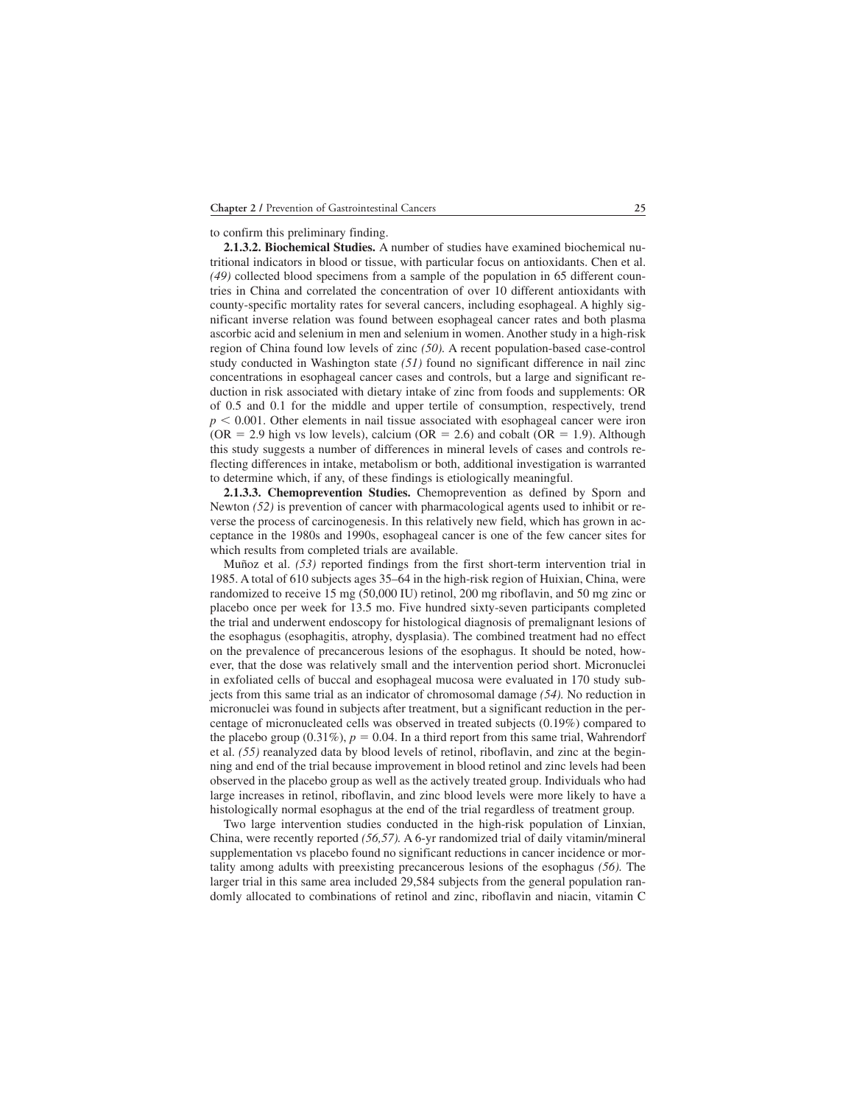to confirm this preliminary finding.

**2.1.3.2. Biochemical Studies.** A number of studies have examined biochemical nutritional indicators in blood or tissue, with particular focus on antioxidants. Chen et al. *(49)* collected blood specimens from a sample of the population in 65 different countries in China and correlated the concentration of over 10 different antioxidants with county-specific mortality rates for several cancers, including esophageal. A highly significant inverse relation was found between esophageal cancer rates and both plasma ascorbic acid and selenium in men and selenium in women. Another study in a high-risk region of China found low levels of zinc *(50).* A recent population-based case-control study conducted in Washington state *(51)* found no significant difference in nail zinc concentrations in esophageal cancer cases and controls, but a large and significant reduction in risk associated with dietary intake of zinc from foods and supplements: OR of 0.5 and 0.1 for the middle and upper tertile of consumption, respectively, trend  $p < 0.001$ . Other elements in nail tissue associated with esophageal cancer were iron (OR  $= 2.9$  high vs low levels), calcium (OR  $= 2.6$ ) and cobalt (OR  $= 1.9$ ). Although this study suggests a number of differences in mineral levels of cases and controls reflecting differences in intake, metabolism or both, additional investigation is warranted to determine which, if any, of these findings is etiologically meaningful.

**2.1.3.3. Chemoprevention Studies.** Chemoprevention as defined by Sporn and Newton *(52)* is prevention of cancer with pharmacological agents used to inhibit or reverse the process of carcinogenesis. In this relatively new field, which has grown in acceptance in the 1980s and 1990s, esophageal cancer is one of the few cancer sites for which results from completed trials are available.

Muñoz et al. *(53)* reported findings from the first short-term intervention trial in 1985. A total of 610 subjects ages 35–64 in the high-risk region of Huixian, China, were randomized to receive 15 mg (50,000 IU) retinol, 200 mg riboflavin, and 50 mg zinc or placebo once per week for 13.5 mo. Five hundred sixty-seven participants completed the trial and underwent endoscopy for histological diagnosis of premalignant lesions of the esophagus (esophagitis, atrophy, dysplasia). The combined treatment had no effect on the prevalence of precancerous lesions of the esophagus. It should be noted, however, that the dose was relatively small and the intervention period short. Micronuclei in exfoliated cells of buccal and esophageal mucosa were evaluated in 170 study subjects from this same trial as an indicator of chromosomal damage *(54).* No reduction in micronuclei was found in subjects after treatment, but a significant reduction in the percentage of micronucleated cells was observed in treated subjects (0.19%) compared to the placebo group  $(0.31\%)$ ,  $p = 0.04$ . In a third report from this same trial, Wahrendorf et al. *(55)* reanalyzed data by blood levels of retinol, riboflavin, and zinc at the beginning and end of the trial because improvement in blood retinol and zinc levels had been observed in the placebo group as well as the actively treated group. Individuals who had large increases in retinol, riboflavin, and zinc blood levels were more likely to have a histologically normal esophagus at the end of the trial regardless of treatment group.

Two large intervention studies conducted in the high-risk population of Linxian, China, were recently reported *(56,57).* A 6-yr randomized trial of daily vitamin/mineral supplementation vs placebo found no significant reductions in cancer incidence or mortality among adults with preexisting precancerous lesions of the esophagus *(56).* The larger trial in this same area included 29,584 subjects from the general population randomly allocated to combinations of retinol and zinc, riboflavin and niacin, vitamin C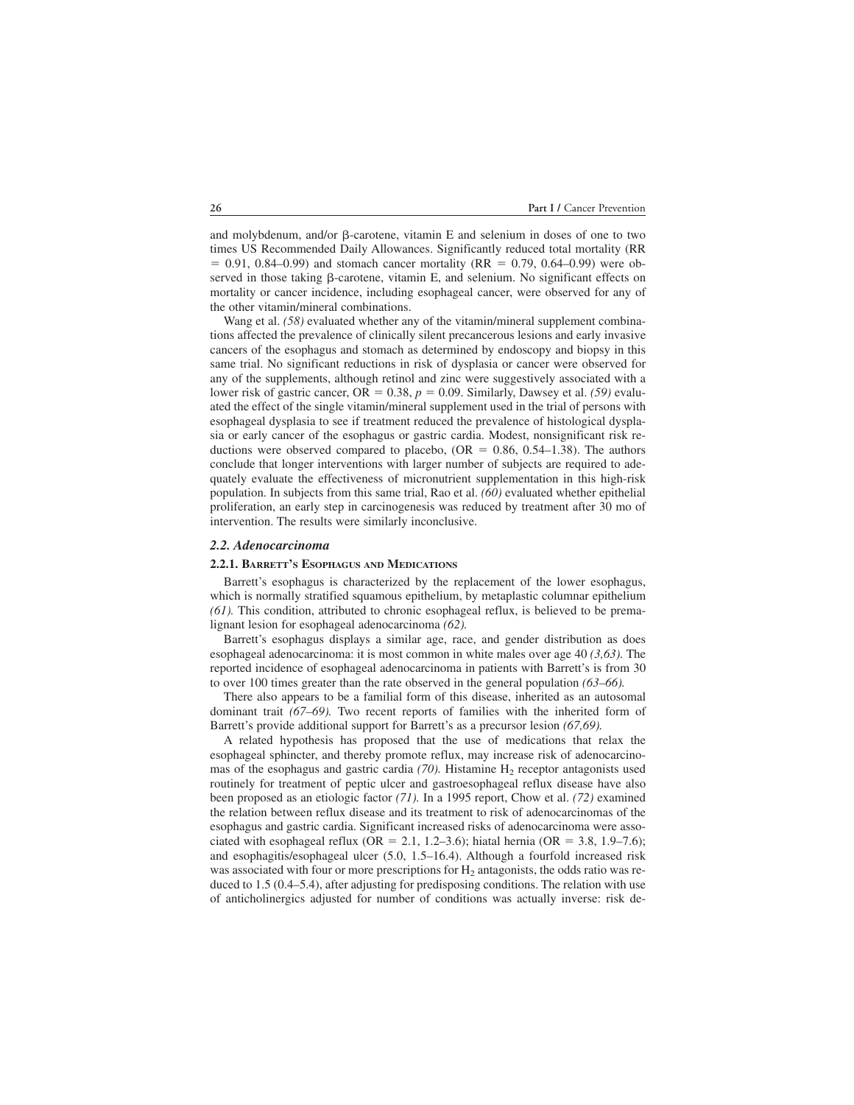and molybdenum, and/or  $\beta$ -carotene, vitamin E and selenium in doses of one to two times US Recommended Daily Allowances. Significantly reduced total mortality (RR  $= 0.91, 0.84$ –0.99) and stomach cancer mortality (RR  $= 0.79, 0.64$ –0.99) were observed in those taking  $\beta$ -carotene, vitamin E, and selenium. No significant effects on mortality or cancer incidence, including esophageal cancer, were observed for any of the other vitamin/mineral combinations.

Wang et al. *(58)* evaluated whether any of the vitamin/mineral supplement combinations affected the prevalence of clinically silent precancerous lesions and early invasive cancers of the esophagus and stomach as determined by endoscopy and biopsy in this same trial. No significant reductions in risk of dysplasia or cancer were observed for any of the supplements, although retinol and zinc were suggestively associated with a lower risk of gastric cancer,  $OR = 0.38$ ,  $p = 0.09$ . Similarly, Dawsey et al. *(59)* evaluated the effect of the single vitamin/mineral supplement used in the trial of persons with esophageal dysplasia to see if treatment reduced the prevalence of histological dysplasia or early cancer of the esophagus or gastric cardia. Modest, nonsignificant risk reductions were observed compared to placebo,  $(OR = 0.86, 0.54-1.38)$ . The authors conclude that longer interventions with larger number of subjects are required to adequately evaluate the effectiveness of micronutrient supplementation in this high-risk population. In subjects from this same trial, Rao et al. *(60)* evaluated whether epithelial proliferation, an early step in carcinogenesis was reduced by treatment after 30 mo of intervention. The results were similarly inconclusive.

#### *2.2. Adenocarcinoma*

#### **2.2.1. BARRETT'S ESOPHAGUS AND MEDICATIONS**

Barrett's esophagus is characterized by the replacement of the lower esophagus, which is normally stratified squamous epithelium, by metaplastic columnar epithelium *(61).* This condition, attributed to chronic esophageal reflux, is believed to be premalignant lesion for esophageal adenocarcinoma *(62).*

Barrett's esophagus displays a similar age, race, and gender distribution as does esophageal adenocarcinoma: it is most common in white males over age 40 *(3,63).* The reported incidence of esophageal adenocarcinoma in patients with Barrett's is from 30 to over 100 times greater than the rate observed in the general population *(63–66).*

There also appears to be a familial form of this disease, inherited as an autosomal dominant trait *(67–69).* Two recent reports of families with the inherited form of Barrett's provide additional support for Barrett's as a precursor lesion *(67,69).*

A related hypothesis has proposed that the use of medications that relax the esophageal sphincter, and thereby promote reflux, may increase risk of adenocarcinomas of the esophagus and gastric cardia  $(70)$ . Histamine  $H_2$  receptor antagonists used routinely for treatment of peptic ulcer and gastroesophageal reflux disease have also been proposed as an etiologic factor *(71).* In a 1995 report, Chow et al. *(72)* examined the relation between reflux disease and its treatment to risk of adenocarcinomas of the esophagus and gastric cardia. Significant increased risks of adenocarcinoma were associated with esophageal reflux (OR = 2.1, 1.2–3.6); hiatal hernia (OR = 3.8, 1.9–7.6); and esophagitis/esophageal ulcer (5.0, 1.5–16.4). Although a fourfold increased risk was associated with four or more prescriptions for  $H<sub>2</sub>$  antagonists, the odds ratio was reduced to 1.5 (0.4–5.4), after adjusting for predisposing conditions. The relation with use of anticholinergics adjusted for number of conditions was actually inverse: risk de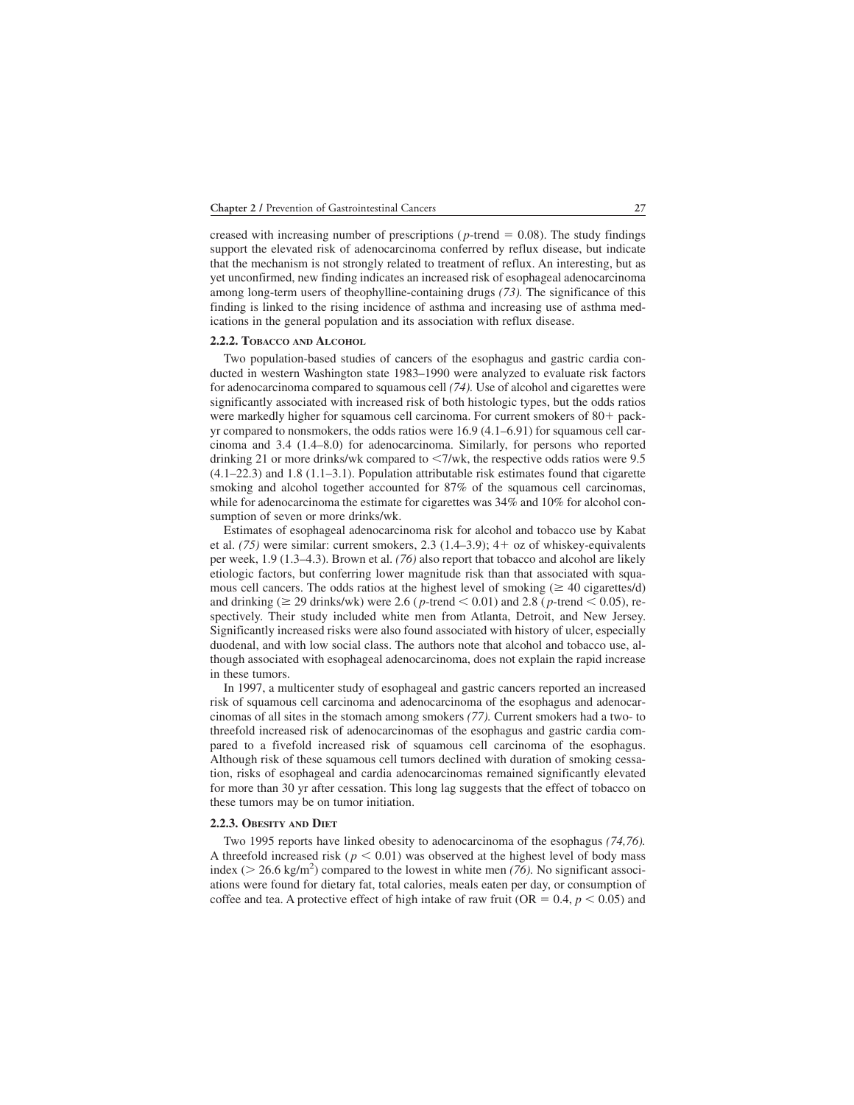creased with increasing number of prescriptions ( $p$ -trend  $= 0.08$ ). The study findings support the elevated risk of adenocarcinoma conferred by reflux disease, but indicate that the mechanism is not strongly related to treatment of reflux. An interesting, but as yet unconfirmed, new finding indicates an increased risk of esophageal adenocarcinoma among long-term users of theophylline-containing drugs *(73).* The significance of this finding is linked to the rising incidence of asthma and increasing use of asthma medications in the general population and its association with reflux disease.

#### **2.2.2. TOBACCO AND ALCOHOL**

Two population-based studies of cancers of the esophagus and gastric cardia conducted in western Washington state 1983–1990 were analyzed to evaluate risk factors for adenocarcinoma compared to squamous cell *(74).* Use of alcohol and cigarettes were significantly associated with increased risk of both histologic types, but the odds ratios were markedly higher for squamous cell carcinoma. For current smokers of 80+ packyr compared to nonsmokers, the odds ratios were 16.9 (4.1–6.91) for squamous cell carcinoma and 3.4 (1.4–8.0) for adenocarcinoma. Similarly, for persons who reported drinking 21 or more drinks/wk compared to  $\langle 7/wk \rangle$ , the respective odds ratios were 9.5 (4.1–22.3) and 1.8 (1.1–3.1). Population attributable risk estimates found that cigarette smoking and alcohol together accounted for 87% of the squamous cell carcinomas, while for adenocarcinoma the estimate for cigarettes was 34% and 10% for alcohol consumption of seven or more drinks/wk.

Estimates of esophageal adenocarcinoma risk for alcohol and tobacco use by Kabat et al.  $(75)$  were similar: current smokers, 2.3  $(1.4–3.9)$ ;  $4+$  oz of whiskey-equivalents per week, 1.9 (1.3–4.3). Brown et al. *(76)* also report that tobacco and alcohol are likely etiologic factors, but conferring lower magnitude risk than that associated with squamous cell cancers. The odds ratios at the highest level of smoking ( $\geq 40$  cigarettes/d) and drinking ( $\geq$  29 drinks/wk) were 2.6 (*p*-trend  $\leq$  0.01) and 2.8 (*p*-trend  $\leq$  0.05), respectively. Their study included white men from Atlanta, Detroit, and New Jersey. Significantly increased risks were also found associated with history of ulcer, especially duodenal, and with low social class. The authors note that alcohol and tobacco use, although associated with esophageal adenocarcinoma, does not explain the rapid increase in these tumors.

In 1997, a multicenter study of esophageal and gastric cancers reported an increased risk of squamous cell carcinoma and adenocarcinoma of the esophagus and adenocarcinomas of all sites in the stomach among smokers *(77).* Current smokers had a two- to threefold increased risk of adenocarcinomas of the esophagus and gastric cardia compared to a fivefold increased risk of squamous cell carcinoma of the esophagus. Although risk of these squamous cell tumors declined with duration of smoking cessation, risks of esophageal and cardia adenocarcinomas remained significantly elevated for more than 30 yr after cessation. This long lag suggests that the effect of tobacco on these tumors may be on tumor initiation.

#### **2.2.3. OBESITY AND DIET**

Two 1995 reports have linked obesity to adenocarcinoma of the esophagus *(74,76).* A threefold increased risk ( $p < 0.01$ ) was observed at the highest level of body mass index ( $> 26.6$  kg/m<sup>2</sup>) compared to the lowest in white men (76). No significant associations were found for dietary fat, total calories, meals eaten per day, or consumption of coffee and tea. A protective effect of high intake of raw fruit ( $OR = 0.4$ ,  $p < 0.05$ ) and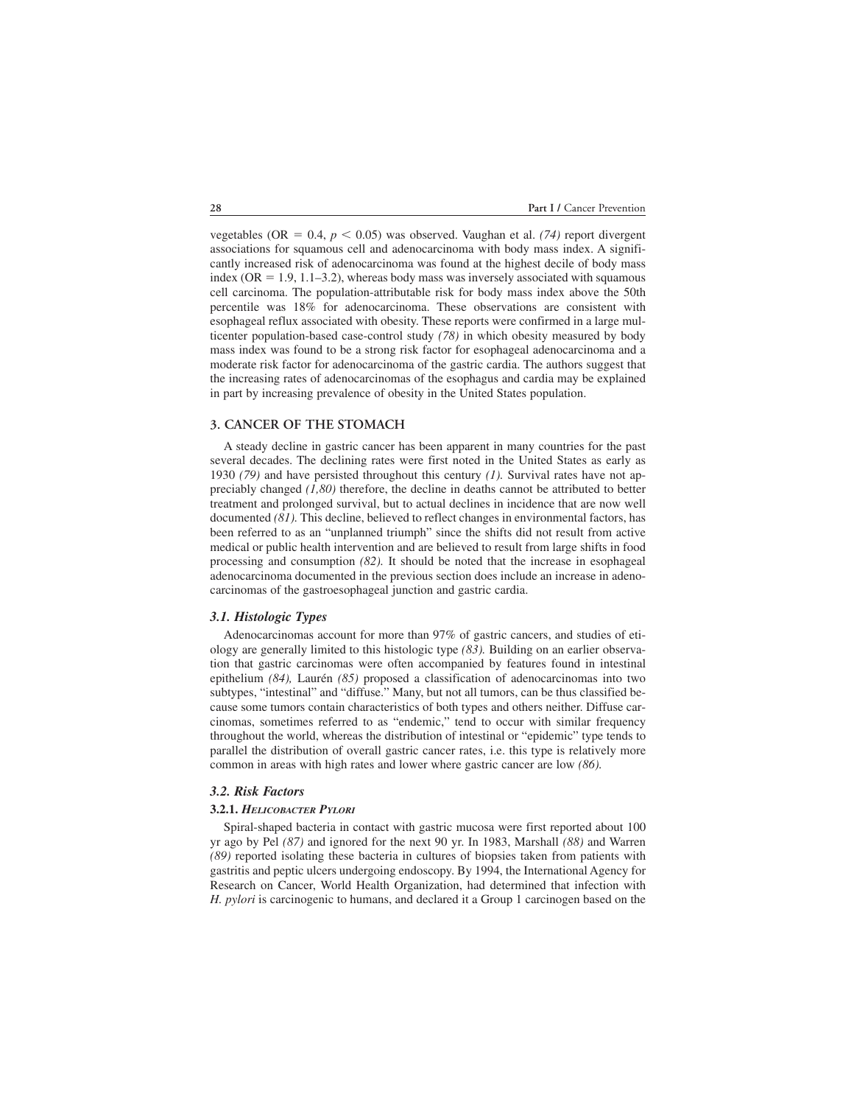vegetables (OR  $= 0.4$ ,  $p < 0.05$ ) was observed. Vaughan et al. (74) report divergent associations for squamous cell and adenocarcinoma with body mass index. A significantly increased risk of adenocarcinoma was found at the highest decile of body mass index ( $OR = 1.9, 1.1-3.2$ ), whereas body mass was inversely associated with squamous cell carcinoma. The population-attributable risk for body mass index above the 50th percentile was 18% for adenocarcinoma. These observations are consistent with esophageal reflux associated with obesity. These reports were confirmed in a large multicenter population-based case-control study *(78)* in which obesity measured by body mass index was found to be a strong risk factor for esophageal adenocarcinoma and a moderate risk factor for adenocarcinoma of the gastric cardia. The authors suggest that the increasing rates of adenocarcinomas of the esophagus and cardia may be explained in part by increasing prevalence of obesity in the United States population.

#### **3. CANCER OF THE STOMACH**

A steady decline in gastric cancer has been apparent in many countries for the past several decades. The declining rates were first noted in the United States as early as 1930 *(79)* and have persisted throughout this century *(1).* Survival rates have not appreciably changed *(1,80)* therefore, the decline in deaths cannot be attributed to better treatment and prolonged survival, but to actual declines in incidence that are now well documented *(81).* This decline, believed to reflect changes in environmental factors, has been referred to as an "unplanned triumph" since the shifts did not result from active medical or public health intervention and are believed to result from large shifts in food processing and consumption *(82).* It should be noted that the increase in esophageal adenocarcinoma documented in the previous section does include an increase in adenocarcinomas of the gastroesophageal junction and gastric cardia.

#### *3.1. Histologic Types*

Adenocarcinomas account for more than 97% of gastric cancers, and studies of etiology are generally limited to this histologic type *(83).* Building on an earlier observation that gastric carcinomas were often accompanied by features found in intestinal epithelium *(84),* Laurén *(85)* proposed a classification of adenocarcinomas into two subtypes, "intestinal" and "diffuse." Many, but not all tumors, can be thus classified because some tumors contain characteristics of both types and others neither. Diffuse carcinomas, sometimes referred to as "endemic," tend to occur with similar frequency throughout the world, whereas the distribution of intestinal or "epidemic" type tends to parallel the distribution of overall gastric cancer rates, i.e. this type is relatively more common in areas with high rates and lower where gastric cancer are low *(86).*

#### *3.2. Risk Factors*

#### **3.2.1.** *HELICOBACTER PYLORI*

Spiral-shaped bacteria in contact with gastric mucosa were first reported about 100 yr ago by Pel *(87)* and ignored for the next 90 yr. In 1983, Marshall *(88)* and Warren *(89)* reported isolating these bacteria in cultures of biopsies taken from patients with gastritis and peptic ulcers undergoing endoscopy. By 1994, the International Agency for Research on Cancer, World Health Organization, had determined that infection with *H. pylori* is carcinogenic to humans, and declared it a Group 1 carcinogen based on the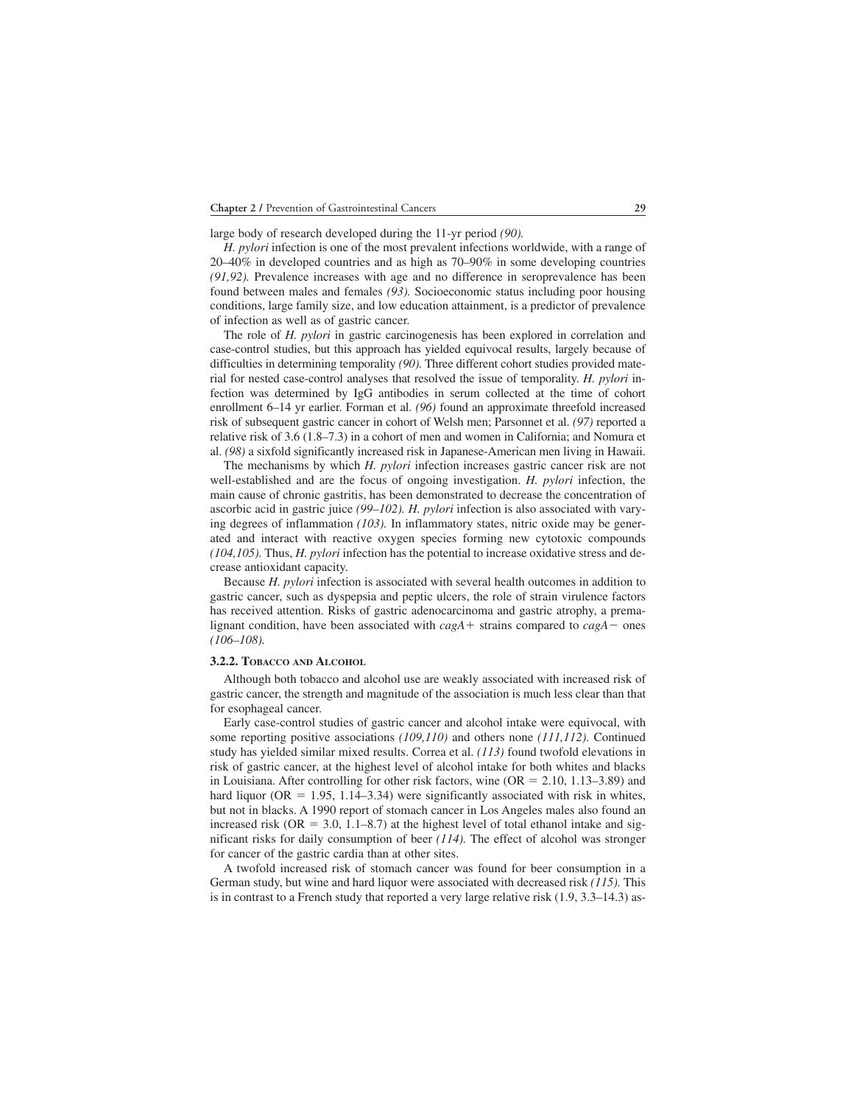large body of research developed during the 11-yr period *(90).*

*H. pylori* infection is one of the most prevalent infections worldwide, with a range of 20–40% in developed countries and as high as 70–90% in some developing countries *(91,92).* Prevalence increases with age and no difference in seroprevalence has been found between males and females *(93).* Socioeconomic status including poor housing conditions, large family size, and low education attainment, is a predictor of prevalence of infection as well as of gastric cancer.

The role of *H. pylori* in gastric carcinogenesis has been explored in correlation and case-control studies, but this approach has yielded equivocal results, largely because of difficulties in determining temporality *(90).* Three different cohort studies provided material for nested case-control analyses that resolved the issue of temporality. *H. pylori* infection was determined by IgG antibodies in serum collected at the time of cohort enrollment 6–14 yr earlier. Forman et al. *(96)* found an approximate threefold increased risk of subsequent gastric cancer in cohort of Welsh men; Parsonnet et al. *(97)* reported a relative risk of 3.6 (1.8–7.3) in a cohort of men and women in California; and Nomura et al. *(98)* a sixfold significantly increased risk in Japanese-American men living in Hawaii.

The mechanisms by which *H. pylori* infection increases gastric cancer risk are not well-established and are the focus of ongoing investigation. *H. pylori* infection, the main cause of chronic gastritis, has been demonstrated to decrease the concentration of ascorbic acid in gastric juice *(99–102). H. pylori* infection is also associated with varying degrees of inflammation *(103).* In inflammatory states, nitric oxide may be generated and interact with reactive oxygen species forming new cytotoxic compounds *(104,105).* Thus, *H. pylori* infection has the potential to increase oxidative stress and decrease antioxidant capacity.

Because *H. pylori* infection is associated with several health outcomes in addition to gastric cancer, such as dyspepsia and peptic ulcers, the role of strain virulence factors has received attention. Risks of gastric adenocarcinoma and gastric atrophy, a premalignant condition, have been associated with  $cagA$  strains compared to  $cagA$  ones *(106–108).*

#### **3.2.2. TOBACCO AND ALCOHOL**

Although both tobacco and alcohol use are weakly associated with increased risk of gastric cancer, the strength and magnitude of the association is much less clear than that for esophageal cancer.

Early case-control studies of gastric cancer and alcohol intake were equivocal, with some reporting positive associations *(109,110)* and others none *(111,112).* Continued study has yielded similar mixed results. Correa et al. *(113)* found twofold elevations in risk of gastric cancer, at the highest level of alcohol intake for both whites and blacks in Louisiana. After controlling for other risk factors, wine  $(OR = 2.10, 1.13-3.89)$  and hard liquor (OR  $=$  1.95, 1.14–3.34) were significantly associated with risk in whites, but not in blacks. A 1990 report of stomach cancer in Los Angeles males also found an increased risk ( $OR = 3.0$ , 1.1–8.7) at the highest level of total ethanol intake and significant risks for daily consumption of beer *(114).* The effect of alcohol was stronger for cancer of the gastric cardia than at other sites.

A twofold increased risk of stomach cancer was found for beer consumption in a German study, but wine and hard liquor were associated with decreased risk *(115).* This is in contrast to a French study that reported a very large relative risk (1.9, 3.3–14.3) as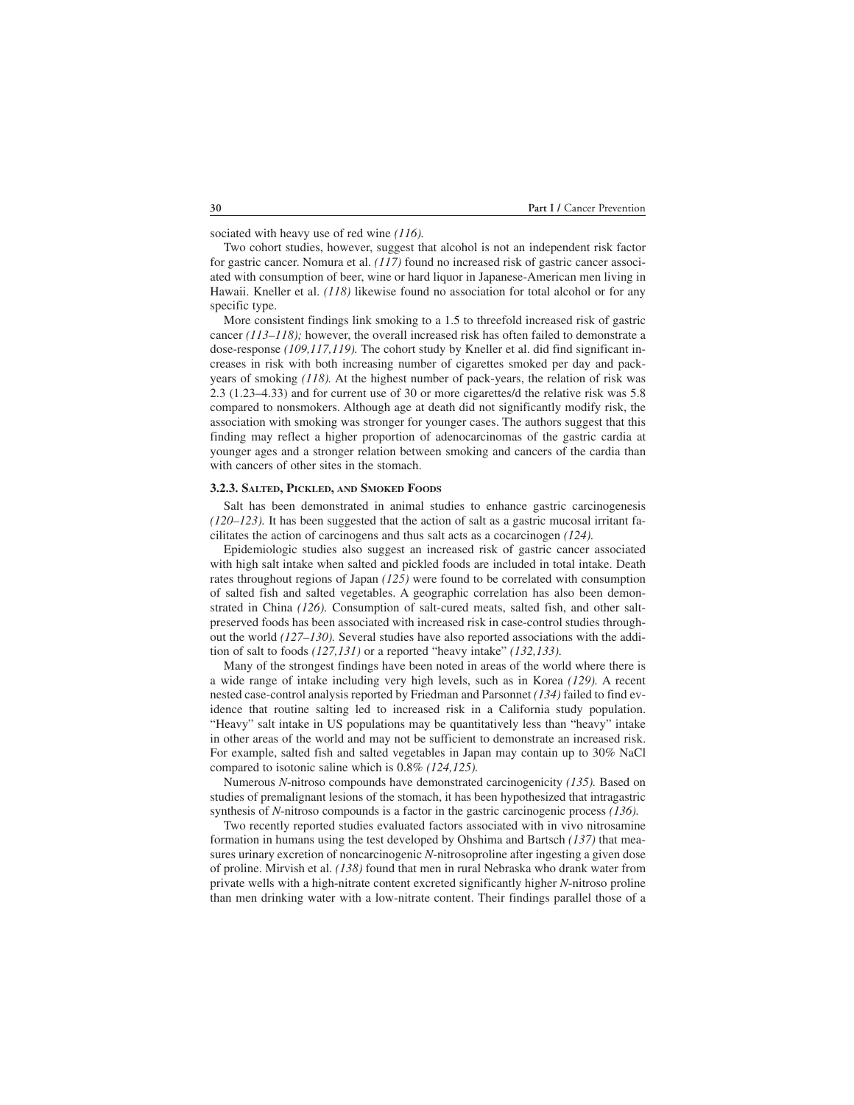sociated with heavy use of red wine *(116).*

Two cohort studies, however, suggest that alcohol is not an independent risk factor for gastric cancer. Nomura et al. *(117)* found no increased risk of gastric cancer associated with consumption of beer, wine or hard liquor in Japanese-American men living in Hawaii. Kneller et al. *(118)* likewise found no association for total alcohol or for any specific type.

More consistent findings link smoking to a 1.5 to threefold increased risk of gastric cancer *(113–118);* however, the overall increased risk has often failed to demonstrate a dose-response *(109,117,119).* The cohort study by Kneller et al. did find significant increases in risk with both increasing number of cigarettes smoked per day and packyears of smoking *(118).* At the highest number of pack-years, the relation of risk was 2.3 (1.23–4.33) and for current use of 30 or more cigarettes/d the relative risk was 5.8 compared to nonsmokers. Although age at death did not significantly modify risk, the association with smoking was stronger for younger cases. The authors suggest that this finding may reflect a higher proportion of adenocarcinomas of the gastric cardia at younger ages and a stronger relation between smoking and cancers of the cardia than with cancers of other sites in the stomach.

#### **3.2.3. SALTED, PICKLED, AND SMOKED FOODS**

Salt has been demonstrated in animal studies to enhance gastric carcinogenesis *(120–123).* It has been suggested that the action of salt as a gastric mucosal irritant facilitates the action of carcinogens and thus salt acts as a cocarcinogen *(124).*

Epidemiologic studies also suggest an increased risk of gastric cancer associated with high salt intake when salted and pickled foods are included in total intake. Death rates throughout regions of Japan *(125)* were found to be correlated with consumption of salted fish and salted vegetables. A geographic correlation has also been demonstrated in China *(126).* Consumption of salt-cured meats, salted fish, and other saltpreserved foods has been associated with increased risk in case-control studies throughout the world *(127–130).* Several studies have also reported associations with the addition of salt to foods *(127,131)* or a reported "heavy intake" *(132,133).*

Many of the strongest findings have been noted in areas of the world where there is a wide range of intake including very high levels, such as in Korea *(129).* A recent nested case-control analysis reported by Friedman and Parsonnet *(134)* failed to find evidence that routine salting led to increased risk in a California study population. "Heavy" salt intake in US populations may be quantitatively less than "heavy" intake in other areas of the world and may not be sufficient to demonstrate an increased risk. For example, salted fish and salted vegetables in Japan may contain up to 30% NaCl compared to isotonic saline which is 0.8% *(124,125).*

Numerous *N*-nitroso compounds have demonstrated carcinogenicity *(135).* Based on studies of premalignant lesions of the stomach, it has been hypothesized that intragastric synthesis of *N*-nitroso compounds is a factor in the gastric carcinogenic process *(136).*

Two recently reported studies evaluated factors associated with in vivo nitrosamine formation in humans using the test developed by Ohshima and Bartsch *(137)* that measures urinary excretion of noncarcinogenic *N*-nitrosoproline after ingesting a given dose of proline. Mirvish et al. *(138)* found that men in rural Nebraska who drank water from private wells with a high-nitrate content excreted significantly higher *N*-nitroso proline than men drinking water with a low-nitrate content. Their findings parallel those of a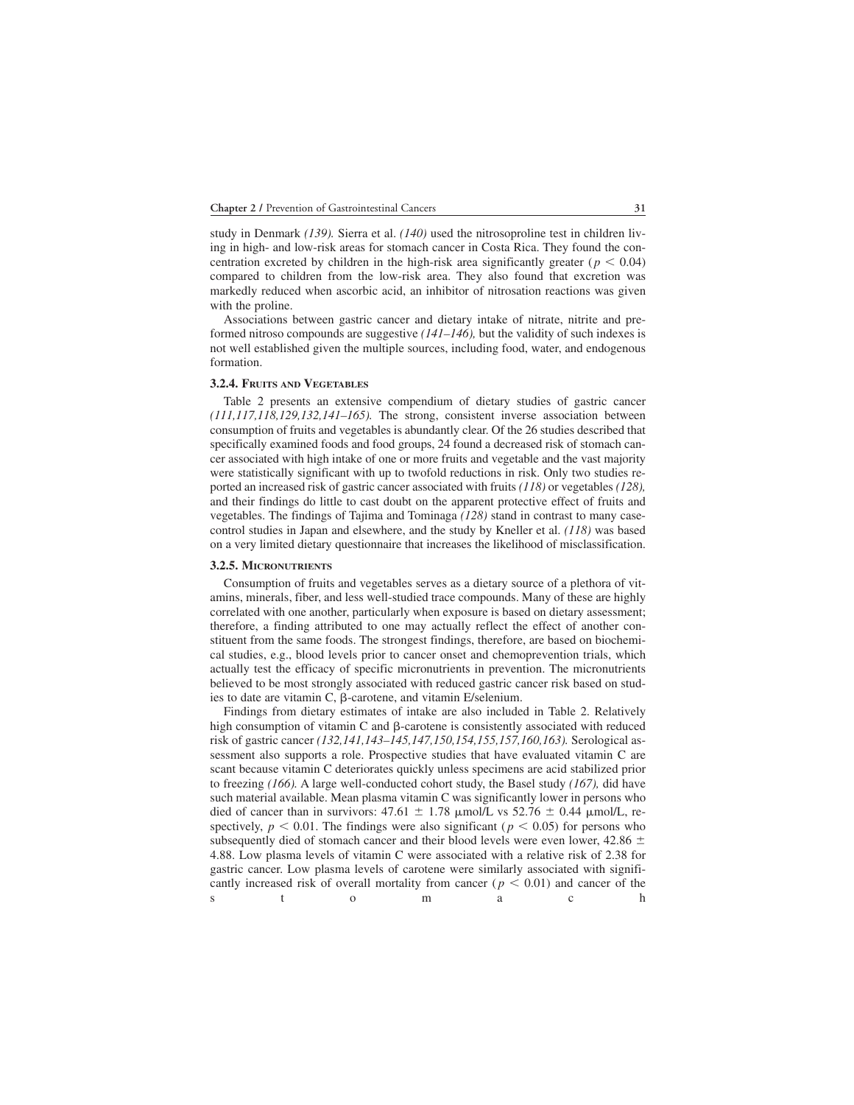study in Denmark *(139).* Sierra et al. *(140)* used the nitrosoproline test in children living in high- and low-risk areas for stomach cancer in Costa Rica. They found the concentration excreted by children in the high-risk area significantly greater ( $p < 0.04$ ) compared to children from the low-risk area. They also found that excretion was markedly reduced when ascorbic acid, an inhibitor of nitrosation reactions was given with the proline.

Associations between gastric cancer and dietary intake of nitrate, nitrite and preformed nitroso compounds are suggestive *(141–146),* but the validity of such indexes is not well established given the multiple sources, including food, water, and endogenous formation.

#### **3.2.4. FRUITS AND VEGETABLES**

Table 2 presents an extensive compendium of dietary studies of gastric cancer *(111,117,118,129,132,141–165).* The strong, consistent inverse association between consumption of fruits and vegetables is abundantly clear. Of the 26 studies described that specifically examined foods and food groups, 24 found a decreased risk of stomach cancer associated with high intake of one or more fruits and vegetable and the vast majority were statistically significant with up to twofold reductions in risk. Only two studies reported an increased risk of gastric cancer associated with fruits *(118)* or vegetables *(128),* and their findings do little to cast doubt on the apparent protective effect of fruits and vegetables. The findings of Tajima and Tominaga *(128)* stand in contrast to many casecontrol studies in Japan and elsewhere, and the study by Kneller et al. *(118)* was based on a very limited dietary questionnaire that increases the likelihood of misclassification.

#### **3.2.5. MICRONUTRIENTS**

Consumption of fruits and vegetables serves as a dietary source of a plethora of vitamins, minerals, fiber, and less well-studied trace compounds. Many of these are highly correlated with one another, particularly when exposure is based on dietary assessment; therefore, a finding attributed to one may actually reflect the effect of another constituent from the same foods. The strongest findings, therefore, are based on biochemical studies, e.g., blood levels prior to cancer onset and chemoprevention trials, which actually test the efficacy of specific micronutrients in prevention. The micronutrients believed to be most strongly associated with reduced gastric cancer risk based on studies to date are vitamin C,  $\beta$ -carotene, and vitamin E/selenium.

Findings from dietary estimates of intake are also included in Table 2. Relatively high consumption of vitamin  $C$  and  $\beta$ -carotene is consistently associated with reduced risk of gastric cancer *(132,141,143–145,147,150,154,155,157,160,163).* Serological assessment also supports a role. Prospective studies that have evaluated vitamin C are scant because vitamin C deteriorates quickly unless specimens are acid stabilized prior to freezing *(166).* A large well-conducted cohort study, the Basel study *(167),* did have such material available. Mean plasma vitamin C was significantly lower in persons who died of cancer than in survivors:  $47.61 \pm 1.78$  µmol/L vs  $52.76 \pm 0.44$  µmol/L, respectively,  $p < 0.01$ . The findings were also significant ( $p < 0.05$ ) for persons who subsequently died of stomach cancer and their blood levels were even lower, 42.86  $\pm$ 4.88. Low plasma levels of vitamin C were associated with a relative risk of 2.38 for gastric cancer. Low plasma levels of carotene were similarly associated with significantly increased risk of overall mortality from cancer ( $p < 0.01$ ) and cancer of the s to ma a ch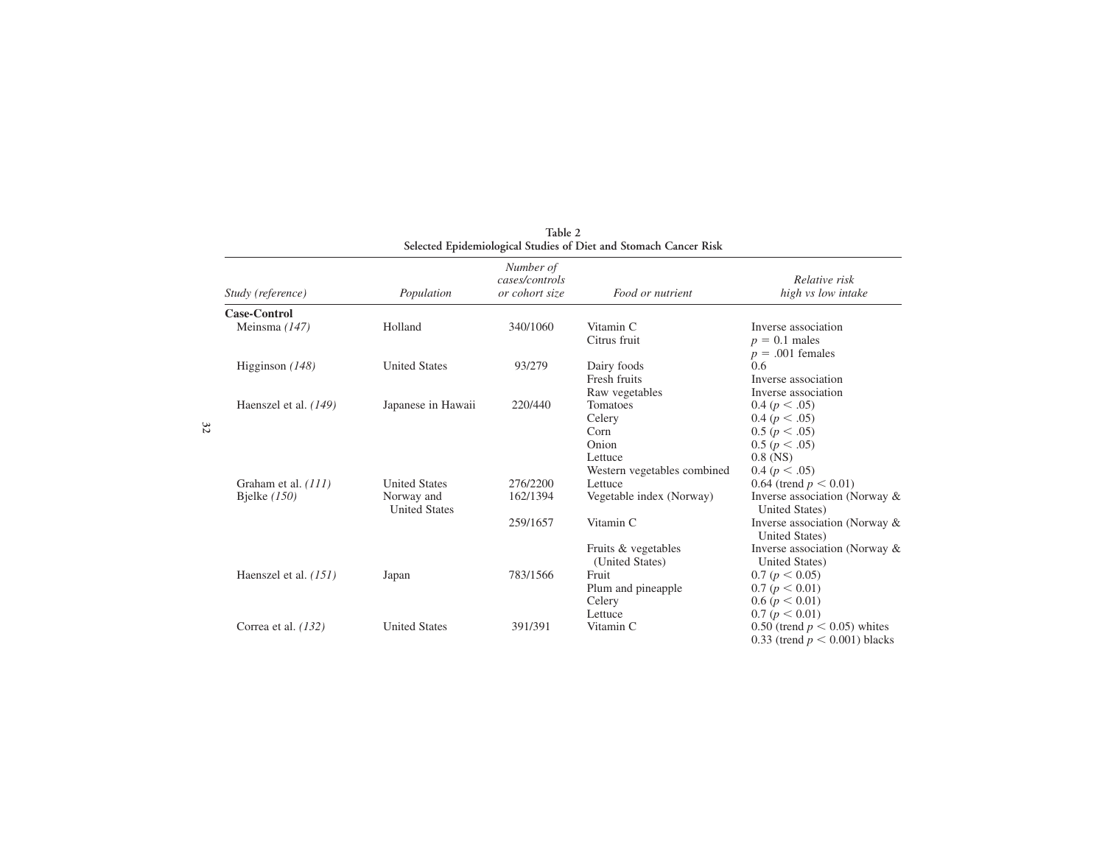| Study (reference)                     | Population                                                 | Number of<br>cases/controls<br>or cohort size | Food or nutrient                                                                | Relative risk<br>high vs low intake                                                                                           |
|---------------------------------------|------------------------------------------------------------|-----------------------------------------------|---------------------------------------------------------------------------------|-------------------------------------------------------------------------------------------------------------------------------|
| Case-Control                          |                                                            |                                               |                                                                                 |                                                                                                                               |
| Meinsma (147)                         | Holland                                                    | 340/1060                                      | Vitamin C<br>Citrus fruit                                                       | Inverse association<br>$p = 0.1$ males<br>$p = .001$ females                                                                  |
| Higginson $(148)$                     | <b>United States</b>                                       | 93/279                                        | Dairy foods<br>Fresh fruits<br>Raw vegetables                                   | 0.6<br>Inverse association<br>Inverse association                                                                             |
| Haenszel et al. $(149)$               | Japanese in Hawaii                                         | 220/440                                       | Tomatoes<br>Celery<br>Corn<br>Onion<br>Lettuce                                  | 0.4 (p < .05)<br>0.4 (p < .05)<br>0.5 (p < .05)<br>0.5 (p < .05)<br>$0.8$ (NS)                                                |
| Graham et al. (111)<br>Bjelke $(150)$ | <b>United States</b><br>Norway and<br><b>United States</b> | 276/2200<br>162/1394<br>259/1657              | Western vegetables combined<br>Lettuce<br>Vegetable index (Norway)<br>Vitamin C | 0.4 (p < .05)<br>0.64 (trend $p < 0.01$ )<br>Inverse association (Norway &<br>United States)<br>Inverse association (Norway & |
| Haenszel et al. (151)                 | Japan                                                      | 783/1566                                      | Fruits & vegetables<br>(United States)<br>Fruit<br>Plum and pineapple<br>Celery | United States)<br>Inverse association (Norway &<br>United States)<br>0.7 (p < 0.05)<br>0.7 (p < 0.01)<br>0.6 (p < 0.01)       |
| Correa et al. $(132)$                 | <b>United States</b>                                       | 391/391                                       | Lettuce<br>Vitamin C                                                            | 0.7 (p < 0.01)<br>0.50 (trend $p < 0.05$ ) whites<br>0.33 (trend $p < 0.001$ ) blacks                                         |

**Table 2 Selected Epidemiological Studies of Diet and Stomach Cancer Risk**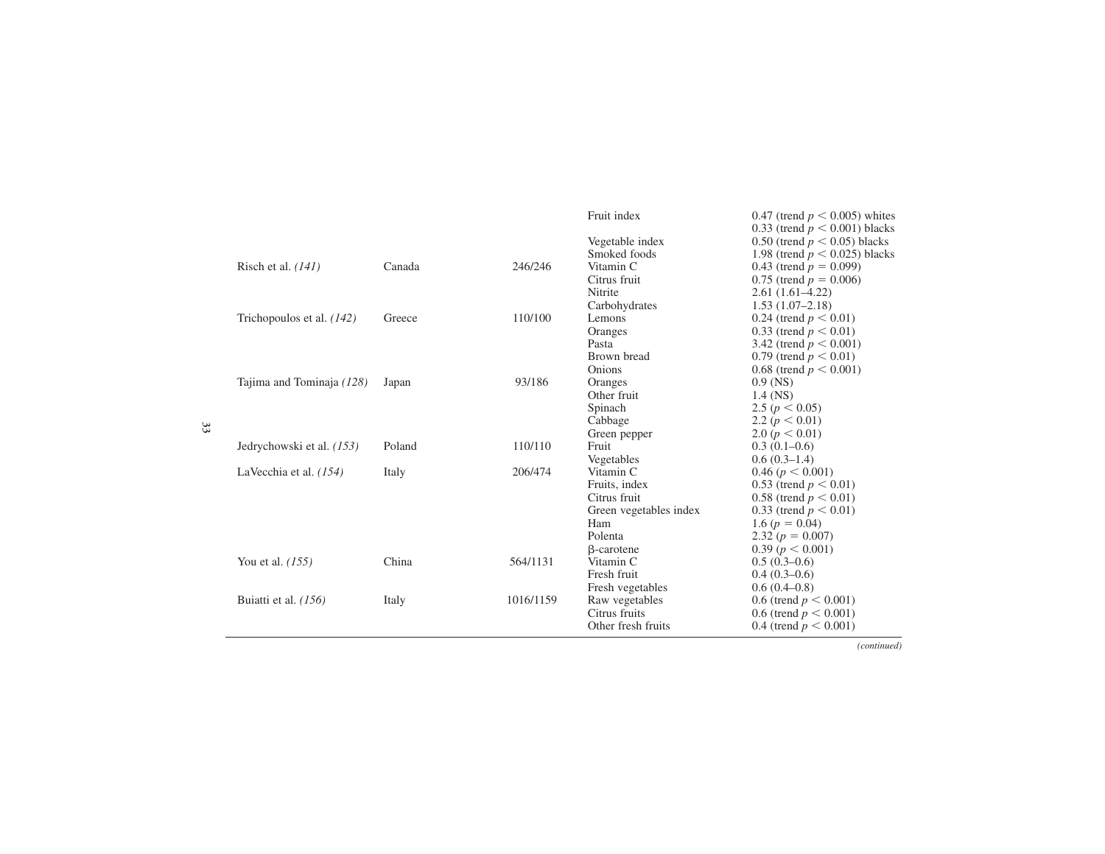|                             |        |           | Fruit index            | 0.47 (trend $p \le 0.005$ ) whites |
|-----------------------------|--------|-----------|------------------------|------------------------------------|
|                             |        |           |                        | 0.33 (trend $p < 0.001$ ) blacks   |
|                             |        |           | Vegetable index        | 0.50 (trend $p < 0.05$ ) blacks    |
|                             |        |           | Smoked foods           | 1.98 (trend $p < 0.025$ ) blacks   |
| Risch et al. $(141)$        | Canada | 246/246   | Vitamin C              | 0.43 (trend $p = 0.099$ )          |
|                             |        |           | Citrus fruit           | 0.75 (trend $p = 0.006$ )          |
|                             |        |           | Nitrite                | $2.61(1.61-4.22)$                  |
|                             |        |           | Carbohydrates          | $1.53(1.07-2.18)$                  |
| Trichopoulos et al. $(142)$ | Greece | 110/100   | Lemons                 | 0.24 (trend $p < 0.01$ )           |
|                             |        |           | Oranges                | 0.33 (trend $p < 0.01$ )           |
|                             |        |           | Pasta                  | 3.42 (trend $p < 0.001$ )          |
|                             |        |           | Brown bread            | 0.79 (trend $p < 0.01$ )           |
|                             |        |           | Onions                 | 0.68 (trend $p < 0.001$ )          |
| Tajima and Tominaja (128)   | Japan  | 93/186    | Oranges                | $0.9$ (NS)                         |
|                             |        |           | Other fruit            | $1.4$ (NS)                         |
|                             |        |           | Spinach                | 2.5 ( $p < 0.05$ )                 |
|                             |        |           | Cabbage                | 2.2 ( $p < 0.01$ )                 |
|                             |        |           | Green pepper           | 2.0 $(p < 0.01)$                   |
| Jedrychowski et al. (153)   | Poland | 110/110   | Fruit                  | $0.3(0.1-0.6)$                     |
|                             |        |           | Vegetables             | $0.6(0.3-1.4)$                     |
| LaVecchia et al. $(154)$    | Italy  | 206/474   | Vitamin C              | 0.46 (p < 0.001)                   |
|                             |        |           | Fruits, index          | 0.53 (trend $p < 0.01$ )           |
|                             |        |           | Citrus fruit           | 0.58 (trend $p < 0.01$ )           |
|                             |        |           | Green vegetables index | 0.33 (trend $p < 0.01$ )           |
|                             |        |           | Ham                    | 1.6 ( $p = 0.04$ )                 |
|                             |        |           | Polenta                | 2.32 $(p = 0.007)$                 |
|                             |        |           | <b>B</b> -carotene     | 0.39 (p < 0.001)                   |
| You et al. $(155)$          | China  | 564/1131  | Vitamin C              | $0.5(0.3-0.6)$                     |
|                             |        |           | Fresh fruit            | $0.4(0.3-0.6)$                     |
|                             |        |           | Fresh vegetables       | $0.6(0.4-0.8)$                     |
| Buiatti et al. (156)        | Italy  | 1016/1159 | Raw vegetables         | 0.6 (trend $p < 0.001$ )           |
|                             |        |           | Citrus fruits          | 0.6 (trend $p < 0.001$ )           |
|                             |        |           | Other fresh fruits     | 0.4 (trend $p < 0.001$ )           |

*(continued)*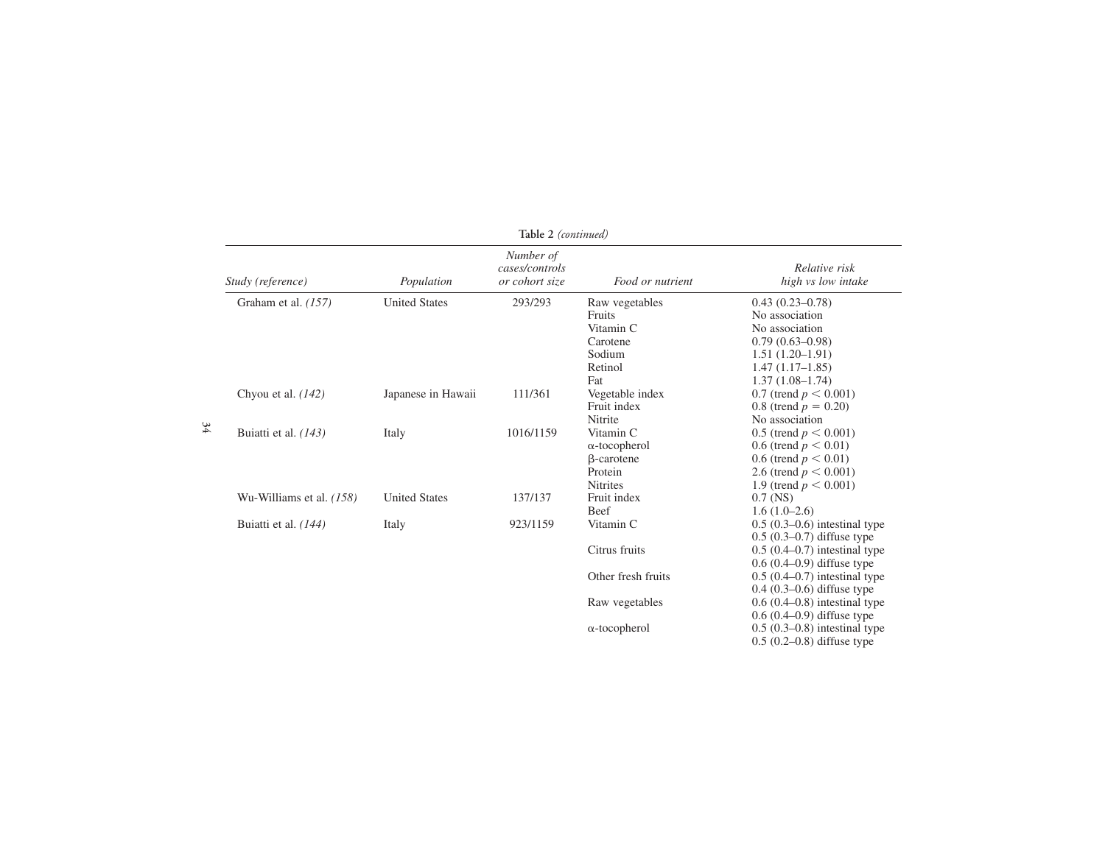| Table 2 (continued)      |                      |                                               |                      |                                     |
|--------------------------|----------------------|-----------------------------------------------|----------------------|-------------------------------------|
| Study (reference)        | Population           | Number of<br>cases/controls<br>or cohort size | Food or nutrient     | Relative risk<br>high vs low intake |
| Graham et al. (157)      | <b>United States</b> | 293/293                                       | Raw vegetables       | $0.43(0.23 - 0.78)$                 |
|                          |                      |                                               | Fruits               | No association                      |
|                          |                      |                                               | Vitamin C            | No association                      |
|                          |                      |                                               | Carotene             | $0.79(0.63 - 0.98)$                 |
|                          |                      |                                               | Sodium               | $1.51(1.20-1.91)$                   |
|                          |                      |                                               | Retinol              | $1.47(1.17-1.85)$                   |
|                          |                      |                                               | Fat                  | $1.37(1.08-1.74)$                   |
| Chyou et al. $(142)$     | Japanese in Hawaii   | 111/361                                       | Vegetable index      | 0.7 (trend $p < 0.001$ )            |
|                          |                      |                                               | Fruit index          | 0.8 (trend $p = 0.20$ )             |
|                          |                      |                                               | Nitrite              | No association                      |
| Buiatti et al. (143)     | Italy                | 1016/1159                                     | Vitamin C            | 0.5 (trend $p < 0.001$ )            |
|                          |                      |                                               | $\alpha$ -tocopherol | 0.6 (trend $p < 0.01$ )             |
|                          |                      |                                               | <b>B</b> -carotene   | 0.6 (trend $p < 0.01$ )             |
|                          |                      |                                               | Protein              | 2.6 (trend $p < 0.001$ )            |
|                          |                      |                                               | <b>Nitrites</b>      | 1.9 (trend $p < 0.001$ )            |
| Wu-Williams et al. (158) | <b>United States</b> | 137/137                                       | Fruit index          | $0.7$ (NS)                          |
|                          |                      |                                               | Beef                 | $1.6(1.0-2.6)$                      |
| Buiatti et al. $(144)$   | Italy                | 923/1159                                      | Vitamin C            | $0.5(0.3-0.6)$ intestinal type      |
|                          |                      |                                               |                      | $0.5(0.3-0.7)$ diffuse type         |
|                          |                      |                                               | Citrus fruits        | $0.5(0.4-0.7)$ intestinal type      |
|                          |                      |                                               |                      | $0.6(0.4-0.9)$ diffuse type         |
|                          |                      |                                               | Other fresh fruits   | $0.5(0.4-0.7)$ intestinal type      |
|                          |                      |                                               |                      | $0.4$ (0.3–0.6) diffuse type        |
|                          |                      |                                               | Raw vegetables       | $0.6(0.4-0.8)$ intestinal type      |
|                          |                      |                                               |                      | $0.6(0.4-0.9)$ diffuse type         |
|                          |                      |                                               | $\alpha$ -tocopherol | $0.5(0.3-0.8)$ intestinal type      |
|                          |                      |                                               |                      | $0.5(0.2-0.8)$ diffuse type         |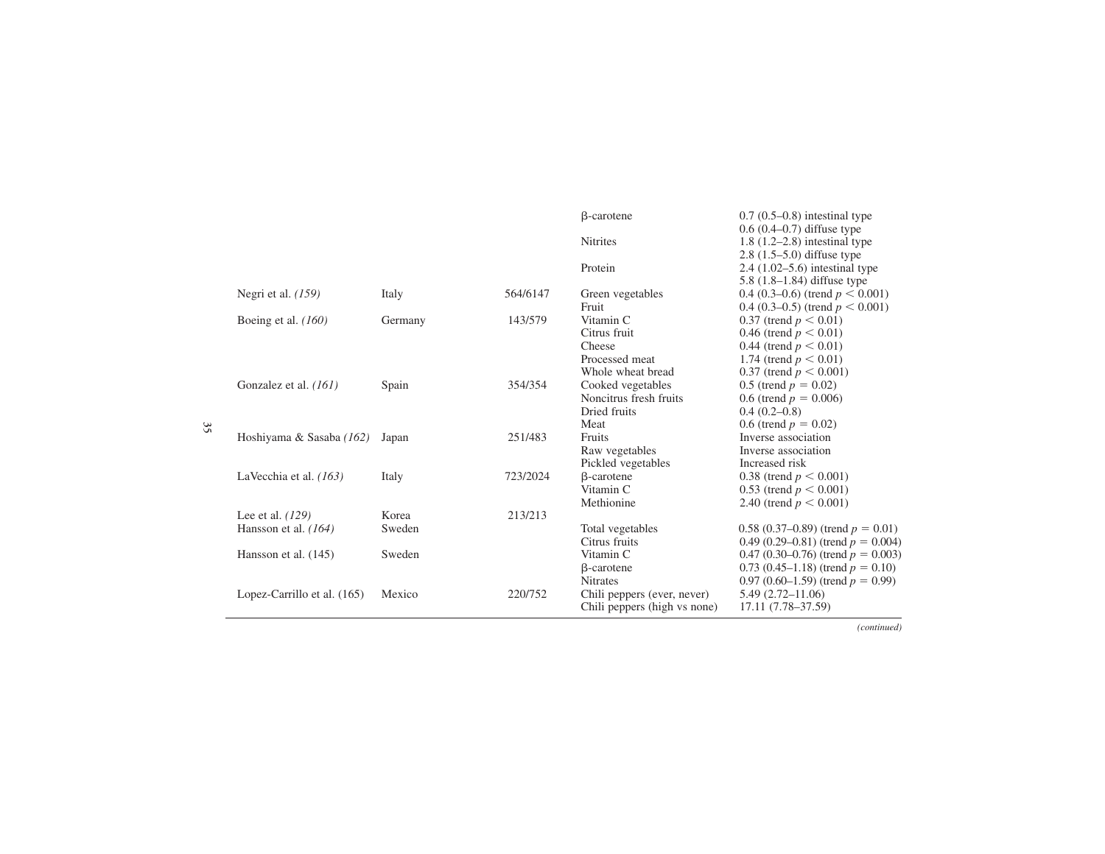|                             |         |          | <b>B</b> -carotene           | $0.7(0.5-0.8)$ intestinal type        |
|-----------------------------|---------|----------|------------------------------|---------------------------------------|
|                             |         |          |                              | $0.6(0.4-0.7)$ diffuse type           |
|                             |         |          | <b>Nitrites</b>              | $1.8$ (1.2–2.8) intestinal type       |
|                             |         |          |                              | $2.8$ (1.5–5.0) diffuse type          |
|                             |         |          | Protein                      | 2.4 $(1.02 - 5.6)$ intestinal type    |
|                             |         |          |                              | 5.8 $(1.8-1.84)$ diffuse type         |
| Negri et al. $(159)$        | Italy   | 564/6147 | Green vegetables             | 0.4 (0.3–0.6) (trend $p < 0.001$ )    |
|                             |         |          | Fruit                        | 0.4 (0.3–0.5) (trend $p < 0.001$ )    |
| Boeing et al. $(160)$       | Germany | 143/579  | Vitamin C                    | 0.37 (trend $p < 0.01$ )              |
|                             |         |          | Citrus fruit                 | 0.46 (trend $p < 0.01$ )              |
|                             |         |          | Cheese                       | 0.44 (trend $p < 0.01$ )              |
|                             |         |          | Processed meat               | 1.74 (trend $p < 0.01$ )              |
|                             |         |          | Whole wheat bread            | 0.37 (trend $p < 0.001$ )             |
| Gonzalez et al. (161)       | Spain   | 354/354  | Cooked vegetables            | 0.5 (trend $p = 0.02$ )               |
|                             |         |          | Noncitrus fresh fruits       | 0.6 (trend $p = 0.006$ )              |
|                             |         |          | Dried fruits                 | $0.4(0.2-0.8)$                        |
|                             |         |          | Meat                         | 0.6 (trend $p = 0.02$ )               |
| Hoshiyama & Sasaba (162)    | Japan   | 251/483  | Fruits                       | Inverse association                   |
|                             |         |          | Raw vegetables               | Inverse association                   |
|                             |         |          | Pickled vegetables           | Increased risk                        |
| La Vecchia et al. $(163)$   | Italy   | 723/2024 | <b>B</b> -carotene           | 0.38 (trend $p < 0.001$ )             |
|                             |         |          | Vitamin C                    | 0.53 (trend $p < 0.001$ )             |
|                             |         |          | Methionine                   | 2.40 (trend $p < 0.001$ )             |
| Lee et al. $(129)$          | Korea   | 213/213  |                              |                                       |
| Hansson et al. $(164)$      | Sweden  |          | Total vegetables             | 0.58 (0.37–0.89) (trend $p = 0.01$ )  |
|                             |         |          | Citrus fruits                | 0.49 (0.29–0.81) (trend $p = 0.004$ ) |
| Hansson et al. (145)        | Sweden  |          | Vitamin C                    | 0.47 (0.30–0.76) (trend $p = 0.003$ ) |
|                             |         |          | $\beta$ -carotene            | 0.73 (0.45–1.18) (trend $p = 0.10$ )  |
|                             |         |          | <b>Nitrates</b>              | 0.97 (0.60–1.59) (trend $p = 0.99$ )  |
| Lopez-Carrillo et al. (165) | Mexico  | 220/752  | Chili peppers (ever, never)  | $5.49(2.72 - 11.06)$                  |
|                             |         |          | Chili peppers (high vs none) | 17.11 (7.78–37.59)                    |
|                             |         |          |                              |                                       |

*(continued)*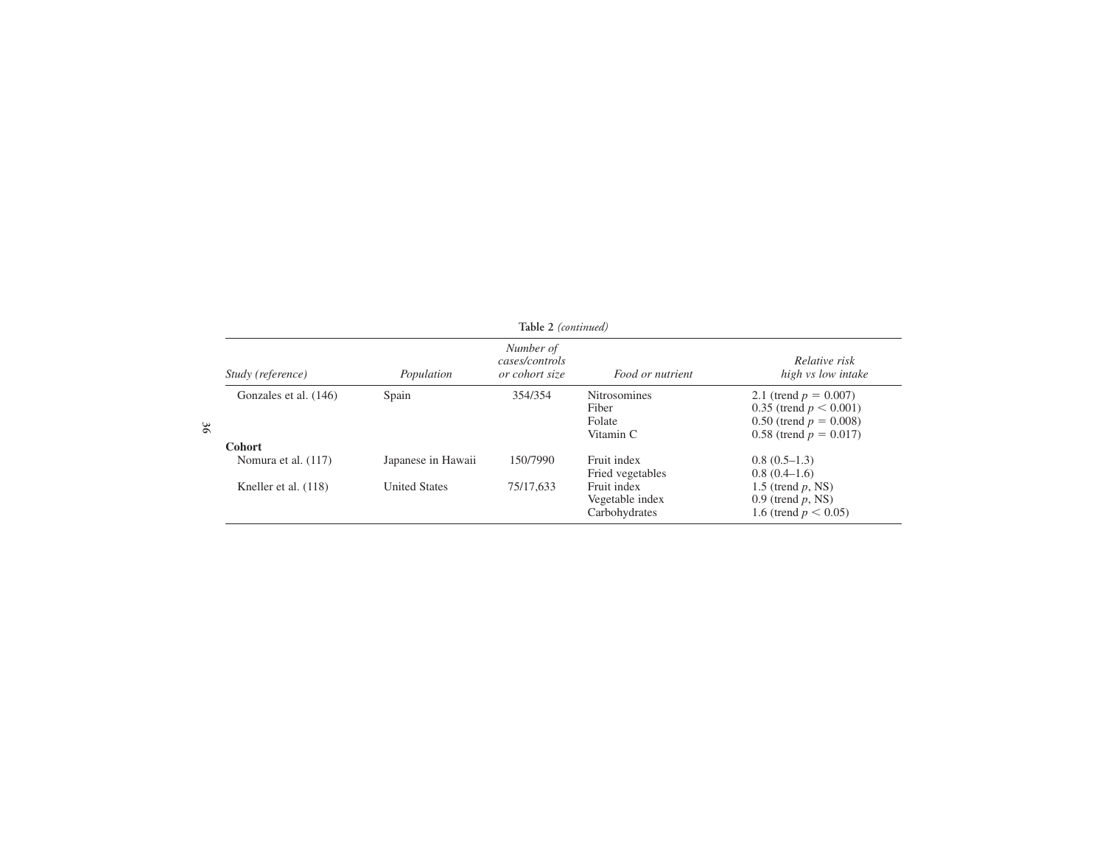| Table 2 (continued)   |                      |                                               |                                                     |                                                                                                                 |  |
|-----------------------|----------------------|-----------------------------------------------|-----------------------------------------------------|-----------------------------------------------------------------------------------------------------------------|--|
| Study (reference)     | Population           | Number of<br>cases/controls<br>or cohort size | Food or nutrient                                    | Relative risk<br>high vs low intake                                                                             |  |
| Gonzales et al. (146) | Spain                | 354/354                                       | <b>Nitrosomines</b><br>Fiber<br>Folate<br>Vitamin C | 2.1 (trend $p = 0.007$ )<br>0.35 (trend $p < 0.001$ )<br>0.50 (trend $p = 0.008$ )<br>0.58 (trend $p = 0.017$ ) |  |
| <b>Cohort</b>         |                      |                                               |                                                     |                                                                                                                 |  |
| Nomura et al. (117)   | Japanese in Hawaii   | 150/7990                                      | Fruit index<br>Fried vegetables                     | $0.8(0.5-1.3)$<br>$0.8(0.4-1.6)$                                                                                |  |
| Kneller et al. (118)  | <b>United States</b> | 75/17,633                                     | Fruit index<br>Vegetable index<br>Carbohydrates     | 1.5 (trend $p$ , NS)<br>0.9 (trend $p$ , NS)<br>1.6 (trend $p < 0.05$ )                                         |  |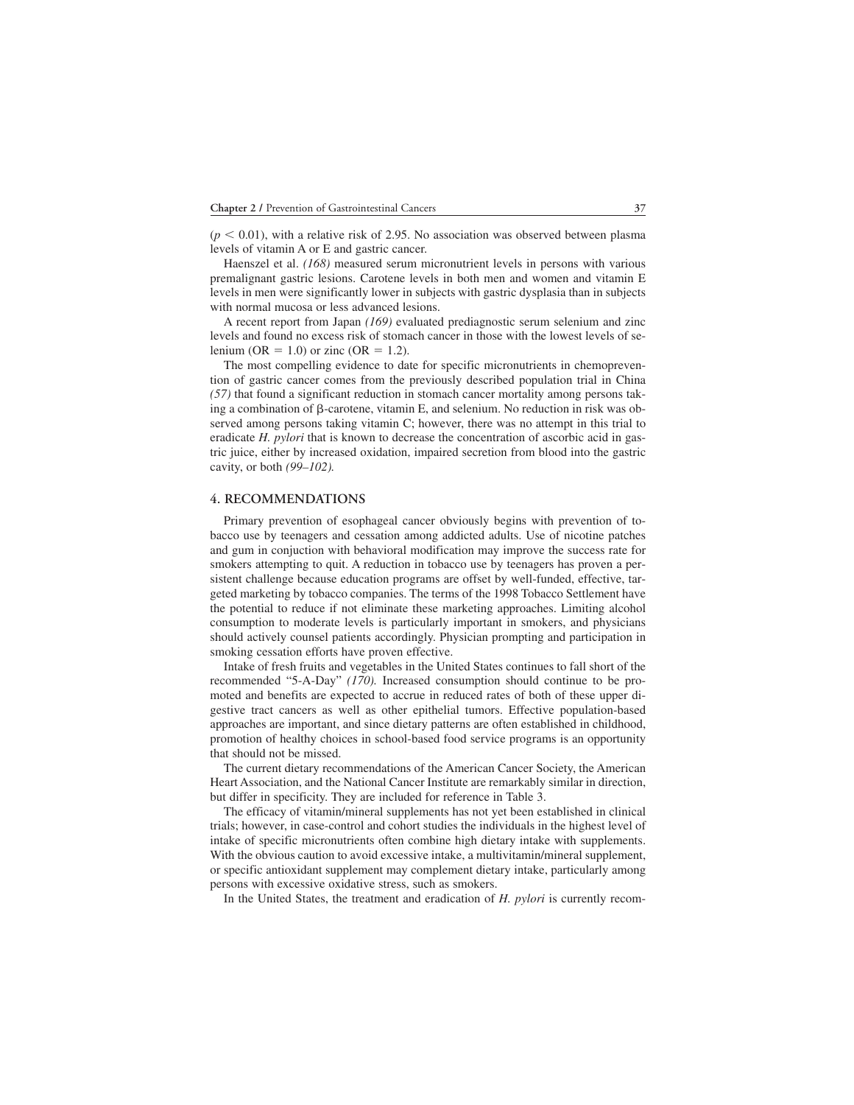$(p < 0.01)$ , with a relative risk of 2.95. No association was observed between plasma levels of vitamin A or E and gastric cancer.

Haenszel et al. *(168)* measured serum micronutrient levels in persons with various premalignant gastric lesions. Carotene levels in both men and women and vitamin E levels in men were significantly lower in subjects with gastric dysplasia than in subjects with normal mucosa or less advanced lesions.

A recent report from Japan *(169)* evaluated prediagnostic serum selenium and zinc levels and found no excess risk of stomach cancer in those with the lowest levels of selenium (OR  $= 1.0$ ) or zinc (OR  $= 1.2$ ).

The most compelling evidence to date for specific micronutrients in chemoprevention of gastric cancer comes from the previously described population trial in China *(57)* that found a significant reduction in stomach cancer mortality among persons taking a combination of  $\beta$ -carotene, vitamin E, and selenium. No reduction in risk was observed among persons taking vitamin C; however, there was no attempt in this trial to eradicate *H. pylori* that is known to decrease the concentration of ascorbic acid in gastric juice, either by increased oxidation, impaired secretion from blood into the gastric cavity, or both *(99–102).*

#### **4. RECOMMENDATIONS**

Primary prevention of esophageal cancer obviously begins with prevention of tobacco use by teenagers and cessation among addicted adults. Use of nicotine patches and gum in conjuction with behavioral modification may improve the success rate for smokers attempting to quit. A reduction in tobacco use by teenagers has proven a persistent challenge because education programs are offset by well-funded, effective, targeted marketing by tobacco companies. The terms of the 1998 Tobacco Settlement have the potential to reduce if not eliminate these marketing approaches. Limiting alcohol consumption to moderate levels is particularly important in smokers, and physicians should actively counsel patients accordingly. Physician prompting and participation in smoking cessation efforts have proven effective.

Intake of fresh fruits and vegetables in the United States continues to fall short of the recommended "5-A-Day" *(170).* Increased consumption should continue to be promoted and benefits are expected to accrue in reduced rates of both of these upper digestive tract cancers as well as other epithelial tumors. Effective population-based approaches are important, and since dietary patterns are often established in childhood, promotion of healthy choices in school-based food service programs is an opportunity that should not be missed.

The current dietary recommendations of the American Cancer Society, the American Heart Association, and the National Cancer Institute are remarkably similar in direction, but differ in specificity. They are included for reference in Table 3.

The efficacy of vitamin/mineral supplements has not yet been established in clinical trials; however, in case-control and cohort studies the individuals in the highest level of intake of specific micronutrients often combine high dietary intake with supplements. With the obvious caution to avoid excessive intake, a multivitamin/mineral supplement, or specific antioxidant supplement may complement dietary intake, particularly among persons with excessive oxidative stress, such as smokers.

In the United States, the treatment and eradication of *H. pylori* is currently recom-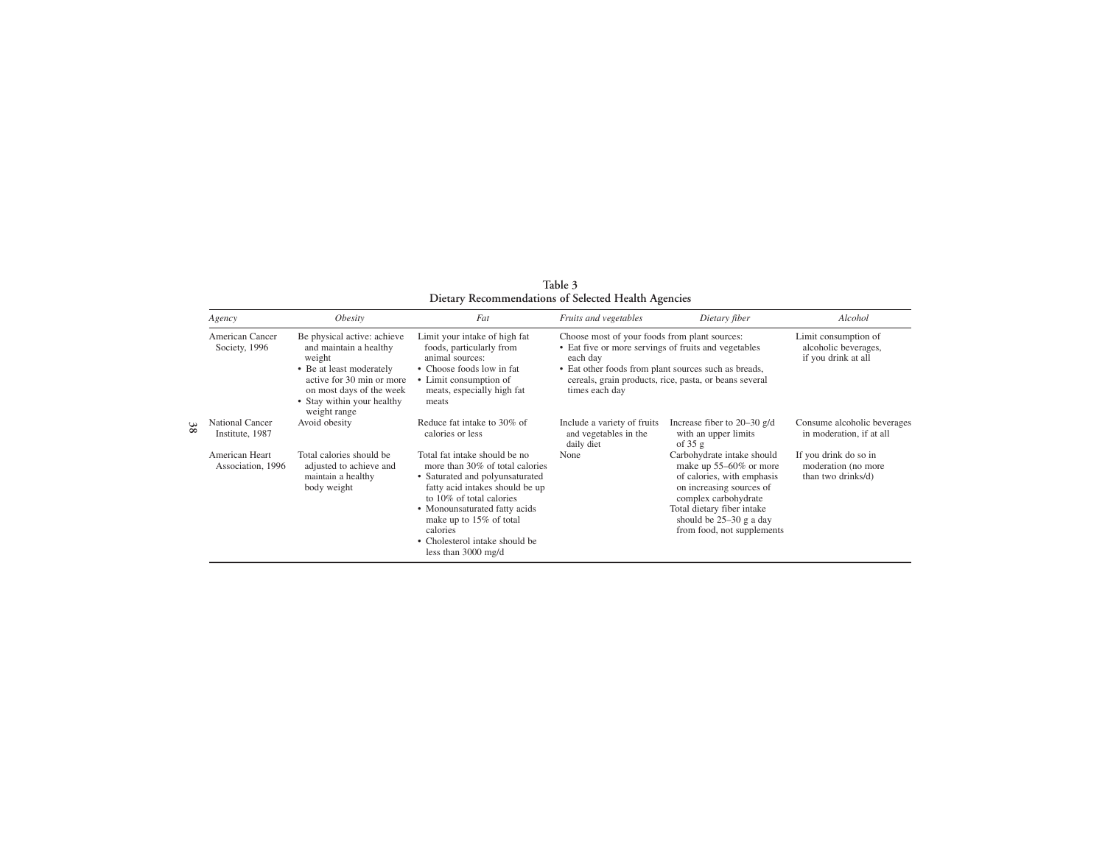|               | Agency                                                                           | Obesity                                                                                                                                                                                            | Fat                                                                                                                                                                                                                                                                                                                                                              | Fruits and vegetables                                                                                                                                                                                                                                 | Dietary fiber                                                                                                                                                                                                                                                                                        | Alcohol                                                                                                                       |
|---------------|----------------------------------------------------------------------------------|----------------------------------------------------------------------------------------------------------------------------------------------------------------------------------------------------|------------------------------------------------------------------------------------------------------------------------------------------------------------------------------------------------------------------------------------------------------------------------------------------------------------------------------------------------------------------|-------------------------------------------------------------------------------------------------------------------------------------------------------------------------------------------------------------------------------------------------------|------------------------------------------------------------------------------------------------------------------------------------------------------------------------------------------------------------------------------------------------------------------------------------------------------|-------------------------------------------------------------------------------------------------------------------------------|
|               | American Cancer<br>Society, 1996                                                 | Be physical active: achieve<br>and maintain a healthy<br>weight<br>• Be at least moderately<br>active for 30 min or more<br>on most days of the week<br>• Stay within your healthy<br>weight range | Limit your intake of high fat<br>foods, particularly from<br>animal sources:<br>• Choose foods low in fat<br>• Limit consumption of<br>meats, especially high fat<br>meats                                                                                                                                                                                       | Choose most of your foods from plant sources:<br>• Eat five or more servings of fruits and vegetables<br>each day<br>• Eat other foods from plant sources such as breads,<br>cereals, grain products, rice, pasta, or beans several<br>times each day |                                                                                                                                                                                                                                                                                                      | Limit consumption of<br>alcoholic beverages,<br>if you drink at all                                                           |
| 3<br>$\infty$ | <b>National Cancer</b><br>Institute, 1987<br>American Heart<br>Association, 1996 | Avoid obesity<br>Total calories should be<br>adjusted to achieve and<br>maintain a healthy<br>body weight                                                                                          | Reduce fat intake to 30% of<br>calories or less<br>Total fat intake should be no<br>more than 30% of total calories<br>• Saturated and polyunsaturated<br>fatty acid intakes should be up<br>to 10% of total calories<br>• Monounsaturated fatty acids<br>make up to 15% of total<br>calories<br>• Cholesterol intake should be<br>less than $3000 \text{ mg/d}$ | Include a variety of fruits<br>and vegetables in the<br>daily diet<br>None                                                                                                                                                                            | Increase fiber to $20-30$ g/d<br>with an upper limits<br>of $35g$<br>Carbohydrate intake should<br>make up 55–60% or more<br>of calories, with emphasis<br>on increasing sources of<br>complex carbohydrate<br>Total dietary fiber intake<br>should be $25-30$ g a day<br>from food, not supplements | Consume alcoholic beverages<br>in moderation, if at all<br>If you drink do so in<br>moderation (no more<br>than two drinks/d) |

**Table 3 Dietary Recommendations of Selected Health Agencies**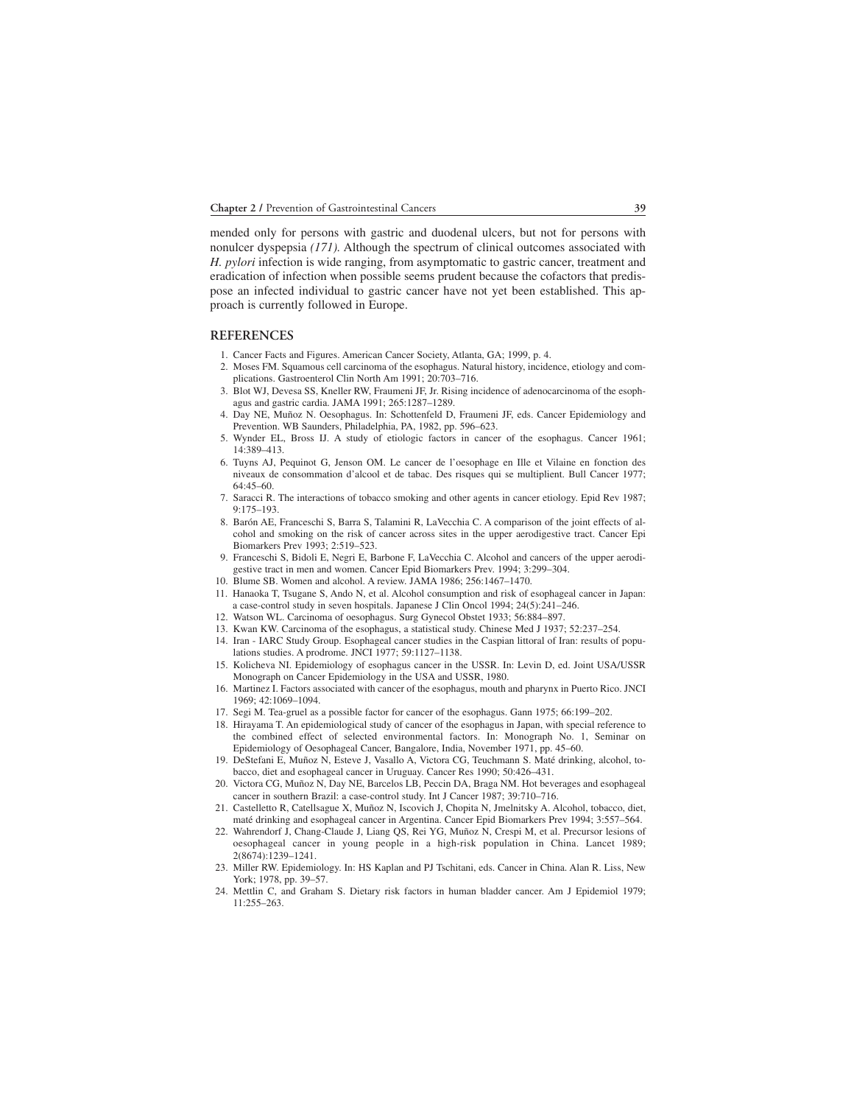mended only for persons with gastric and duodenal ulcers, but not for persons with nonulcer dyspepsia *(171).* Although the spectrum of clinical outcomes associated with *H. pylori* infection is wide ranging, from asymptomatic to gastric cancer, treatment and eradication of infection when possible seems prudent because the cofactors that predispose an infected individual to gastric cancer have not yet been established. This approach is currently followed in Europe.

#### **REFERENCES**

- 1. Cancer Facts and Figures. American Cancer Society, Atlanta, GA; 1999, p. 4.
- 002. Moses FM. Squamous cell carcinoma of the esophagus. Natural history, incidence, etiology and complications. Gastroenterol Clin North Am 1991; 20:703–716.
- 003. Blot WJ, Devesa SS, Kneller RW, Fraumeni JF, Jr. Rising incidence of adenocarcinoma of the esophagus and gastric cardia. JAMA 1991; 265:1287–1289.
- 004. Day NE, Muñoz N. Oesophagus. In: Schottenfeld D, Fraumeni JF, eds. Cancer Epidemiology and Prevention. WB Saunders, Philadelphia, PA, 1982, pp. 596–623.
- 005. Wynder EL, Bross IJ. A study of etiologic factors in cancer of the esophagus. Cancer 1961; 14:389–413.
- 006. Tuyns AJ, Pequinot G, Jenson OM. Le cancer de l'oesophage en Ille et Vilaine en fonction des niveaux de consommation d'alcool et de tabac. Des risques qui se multiplient. Bull Cancer 1977; 64:45–60.
- 7. Saracci R. The interactions of tobacco smoking and other agents in cancer etiology. Epid Rev 1987; 9:175–193.
- 8. Barón AE, Franceschi S, Barra S, Talamini R, LaVecchia C. A comparison of the joint effects of alcohol and smoking on the risk of cancer across sites in the upper aerodigestive tract. Cancer Epi Biomarkers Prev 1993; 2:519–523.
- 009. Franceschi S, Bidoli E, Negri E, Barbone F, LaVecchia C. Alcohol and cancers of the upper aerodigestive tract in men and women. Cancer Epid Biomarkers Prev. 1994; 3:299–304.
- 010. Blume SB. Women and alcohol. A review. JAMA 1986; 256:1467–1470.
- 11. Hanaoka T, Tsugane S, Ando N, et al. Alcohol consumption and risk of esophageal cancer in Japan: a case-control study in seven hospitals. Japanese J Clin Oncol 1994; 24(5):241–246.
- 12. Watson WL. Carcinoma of oesophagus. Surg Gynecol Obstet 1933; 56:884-897.
- 013. Kwan KW. Carcinoma of the esophagus, a statistical study. Chinese Med J 1937; 52:237–254.
- 14. Iran IARC Study Group. Esophageal cancer studies in the Caspian littoral of Iran: results of populations studies. A prodrome. JNCI 1977; 59:1127–1138.
- 015. Kolicheva NI. Epidemiology of esophagus cancer in the USSR. In: Levin D, ed. Joint USA/USSR Monograph on Cancer Epidemiology in the USA and USSR, 1980.
- 016. Martinez I. Factors associated with cancer of the esophagus, mouth and pharynx in Puerto Rico. JNCI 1969; 42:1069–1094.
- 017. Segi M. Tea-gruel as a possible factor for cancer of the esophagus. Gann 1975; 66:199–202.
- 18. Hirayama T. An epidemiological study of cancer of the esophagus in Japan, with special reference to the combined effect of selected environmental factors. In: Monograph No. 1, Seminar on Epidemiology of Oesophageal Cancer, Bangalore, India, November 1971, pp. 45–60.
- 019. DeStefani E, Muñoz N, Esteve J, Vasallo A, Victora CG, Teuchmann S. Maté drinking, alcohol, tobacco, diet and esophageal cancer in Uruguay. Cancer Res 1990; 50:426–431.
- 020. Victora CG, Muñoz N, Day NE, Barcelos LB, Peccin DA, Braga NM. Hot beverages and esophageal cancer in southern Brazil: a case-control study. Int J Cancer 1987; 39:710–716.
- 021. Castelletto R, Catellsague X, Muñoz N, Iscovich J, Chopita N, Jmelnitsky A. Alcohol, tobacco, diet, maté drinking and esophageal cancer in Argentina. Cancer Epid Biomarkers Prev 1994; 3:557–564.
- 022. Wahrendorf J, Chang-Claude J, Liang QS, Rei YG, Muñoz N, Crespi M, et al. Precursor lesions of oesophageal cancer in young people in a high-risk population in China. Lancet 1989; 2(8674):1239–1241.
- 023. Miller RW. Epidemiology. In: HS Kaplan and PJ Tschitani, eds. Cancer in China. Alan R. Liss, New York; 1978, pp. 39–57.
- 024. Mettlin C, and Graham S. Dietary risk factors in human bladder cancer. Am J Epidemiol 1979; 11:255–263.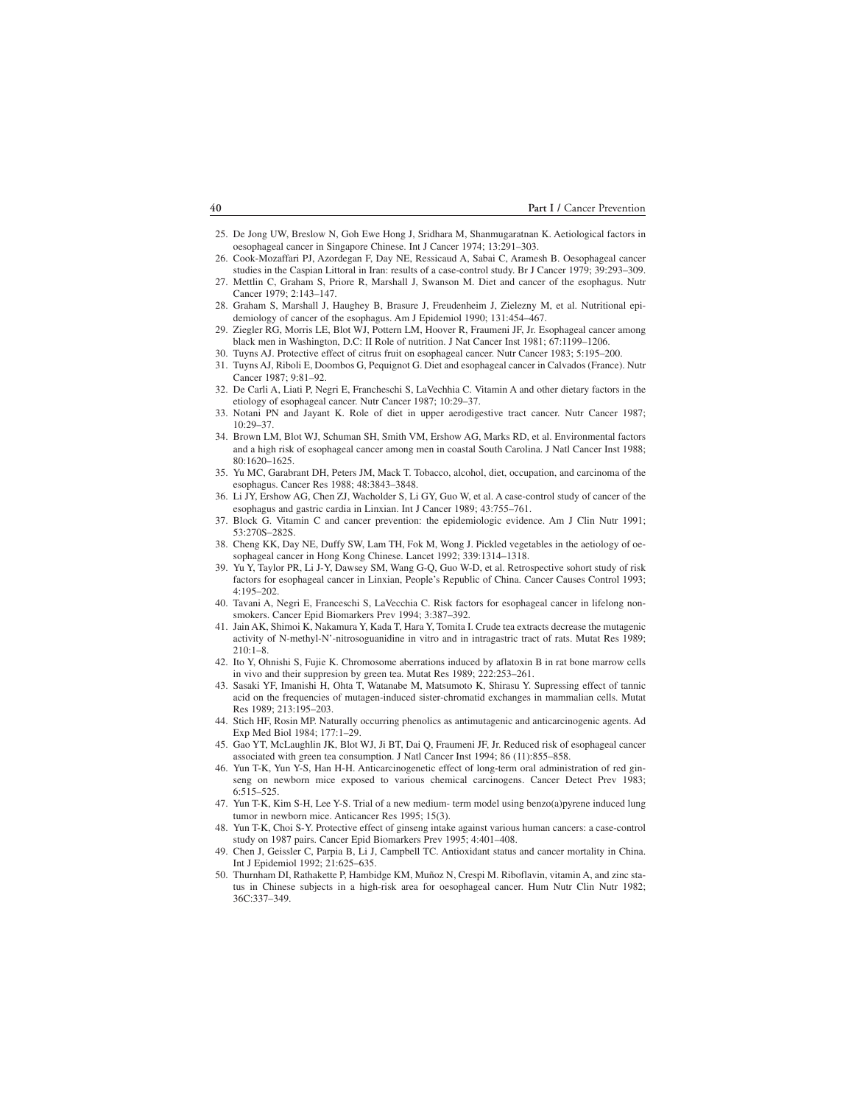- 025. De Jong UW, Breslow N, Goh Ewe Hong J, Sridhara M, Shanmugaratnan K. Aetiological factors in oesophageal cancer in Singapore Chinese. Int J Cancer 1974; 13:291–303.
- 026. Cook-Mozaffari PJ, Azordegan F, Day NE, Ressicaud A, Sabai C, Aramesh B. Oesophageal cancer studies in the Caspian Littoral in Iran: results of a case-control study. Br J Cancer 1979; 39:293–309.
- 27. Mettlin C, Graham S, Priore R, Marshall J, Swanson M. Diet and cancer of the esophagus. Nutr Cancer 1979; 2:143–147.
- 028. Graham S, Marshall J, Haughey B, Brasure J, Freudenheim J, Zielezny M, et al. Nutritional epidemiology of cancer of the esophagus. Am J Epidemiol 1990; 131:454–467.
- 029. Ziegler RG, Morris LE, Blot WJ, Pottern LM, Hoover R, Fraumeni JF, Jr. Esophageal cancer among black men in Washington, D.C: II Role of nutrition. J Nat Cancer Inst 1981; 67:1199–1206.
- 030. Tuyns AJ. Protective effect of citrus fruit on esophageal cancer. Nutr Cancer 1983; 5:195–200.
- 031. Tuyns AJ, Riboli E, Doombos G, Pequignot G. Diet and esophageal cancer in Calvados (France). Nutr Cancer 1987; 9:81–92.
- 032. De Carli A, Liati P, Negri E, Francheschi S, LaVechhia C. Vitamin A and other dietary factors in the etiology of esophageal cancer. Nutr Cancer 1987; 10:29–37.
- 033. Notani PN and Jayant K. Role of diet in upper aerodigestive tract cancer. Nutr Cancer 1987; 10:29–37.
- 034. Brown LM, Blot WJ, Schuman SH, Smith VM, Ershow AG, Marks RD, et al. Environmental factors and a high risk of esophageal cancer among men in coastal South Carolina. J Natl Cancer Inst 1988; 80:1620–1625.
- 035. Yu MC, Garabrant DH, Peters JM, Mack T. Tobacco, alcohol, diet, occupation, and carcinoma of the esophagus. Cancer Res 1988; 48:3843–3848.
- 036. Li JY, Ershow AG, Chen ZJ, Wacholder S, Li GY, Guo W, et al. A case-control study of cancer of the esophagus and gastric cardia in Linxian. Int J Cancer 1989; 43:755–761.
- 037. Block G. Vitamin C and cancer prevention: the epidemiologic evidence. Am J Clin Nutr 1991; 53:270S–282S.
- 038. Cheng KK, Day NE, Duffy SW, Lam TH, Fok M, Wong J. Pickled vegetables in the aetiology of oesophageal cancer in Hong Kong Chinese. Lancet 1992; 339:1314–1318.
- 039. Yu Y, Taylor PR, Li J-Y, Dawsey SM, Wang G-Q, Guo W-D, et al. Retrospective sohort study of risk factors for esophageal cancer in Linxian, People's Republic of China. Cancer Causes Control 1993; 4:195–202.
- 040. Tavani A, Negri E, Franceschi S, LaVecchia C. Risk factors for esophageal cancer in lifelong nonsmokers. Cancer Epid Biomarkers Prev 1994; 3:387–392.
- 041. Jain AK, Shimoi K, Nakamura Y, Kada T, Hara Y, Tomita I. Crude tea extracts decrease the mutagenic activity of N-methyl-N'-nitrosoguanidine in vitro and in intragastric tract of rats. Mutat Res 1989; 210:1–8.
- 042. Ito Y, Ohnishi S, Fujie K. Chromosome aberrations induced by aflatoxin B in rat bone marrow cells in vivo and their suppresion by green tea. Mutat Res 1989; 222:253–261.
- 043. Sasaki YF, Imanishi H, Ohta T, Watanabe M, Matsumoto K, Shirasu Y. Supressing effect of tannic acid on the frequencies of mutagen-induced sister-chromatid exchanges in mammalian cells. Mutat Res 1989; 213:195–203.
- 044. Stich HF, Rosin MP. Naturally occurring phenolics as antimutagenic and anticarcinogenic agents. Ad Exp Med Biol 1984; 177:1–29.
- 045. Gao YT, McLaughlin JK, Blot WJ, Ji BT, Dai Q, Fraumeni JF, Jr. Reduced risk of esophageal cancer associated with green tea consumption. J Natl Cancer Inst 1994; 86 (11):855–858.
- 046. Yun T-K, Yun Y-S, Han H-H. Anticarcinogenetic effect of long-term oral administration of red ginseng on newborn mice exposed to various chemical carcinogens. Cancer Detect Prev 1983; 6:515–525.
- 047. Yun T-K, Kim S-H, Lee Y-S. Trial of a new medium- term model using benzo(a)pyrene induced lung tumor in newborn mice. Anticancer Res 1995; 15(3).
- 048. Yun T-K, Choi S-Y. Protective effect of ginseng intake against various human cancers: a case-control study on 1987 pairs. Cancer Epid Biomarkers Prev 1995; 4:401–408.
- 049. Chen J, Geissler C, Parpia B, Li J, Campbell TC. Antioxidant status and cancer mortality in China. Int J Epidemiol 1992; 21:625–635.
- 050. Thurnham DI, Rathakette P, Hambidge KM, Muñoz N, Crespi M. Riboflavin, vitamin A, and zinc status in Chinese subjects in a high-risk area for oesophageal cancer. Hum Nutr Clin Nutr 1982; 36C:337–349.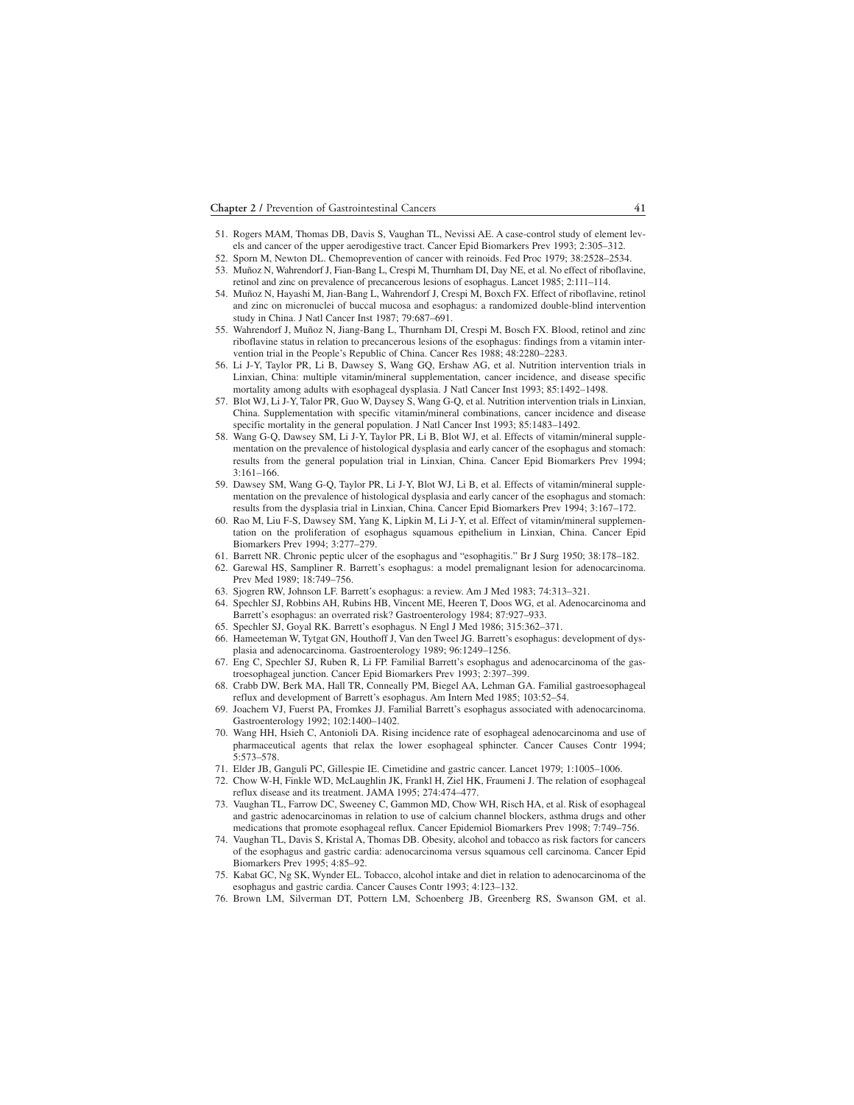- 051. Rogers MAM, Thomas DB, Davis S, Vaughan TL, Nevissi AE. A case-control study of element levels and cancer of the upper aerodigestive tract. Cancer Epid Biomarkers Prev 1993; 2:305–312.
- 052. Sporn M, Newton DL. Chemoprevention of cancer with reinoids. Fed Proc 1979; 38:2528–2534.
- 53. Muñoz N, Wahrendorf J, Fian-Bang L, Crespi M, Thurnham DI, Day NE, et al. No effect of riboflavine, retinol and zinc on prevalence of precancerous lesions of esophagus. Lancet 1985; 2:111–114.
- 054. Muñoz N, Hayashi M, Jian-Bang L, Wahrendorf J, Crespi M, Boxch FX. Effect of riboflavine, retinol and zinc on micronuclei of buccal mucosa and esophagus: a randomized double-blind intervention study in China. J Natl Cancer Inst 1987; 79:687–691.
- 055. Wahrendorf J, Muñoz N, Jiang-Bang L, Thurnham DI, Crespi M, Bosch FX. Blood, retinol and zinc riboflavine status in relation to precancerous lesions of the esophagus: findings from a vitamin intervention trial in the People's Republic of China. Cancer Res 1988; 48:2280–2283.
- 056. Li J-Y, Taylor PR, Li B, Dawsey S, Wang GQ, Ershaw AG, et al. Nutrition intervention trials in Linxian, China: multiple vitamin/mineral supplementation, cancer incidence, and disease specific mortality among adults with esophageal dysplasia. J Natl Cancer Inst 1993; 85:1492–1498.
- 057. Blot WJ, Li J-Y, Talor PR, Guo W, Daysey S, Wang G-Q, et al. Nutrition intervention trials in Linxian, China. Supplementation with specific vitamin/mineral combinations, cancer incidence and disease specific mortality in the general population. J Natl Cancer Inst 1993; 85:1483–1492.
- 058. Wang G-Q, Dawsey SM, Li J-Y, Taylor PR, Li B, Blot WJ, et al. Effects of vitamin/mineral supplementation on the prevalence of histological dysplasia and early cancer of the esophagus and stomach: results from the general population trial in Linxian, China. Cancer Epid Biomarkers Prev 1994; 3:161–166.
- 059. Dawsey SM, Wang G-Q, Taylor PR, Li J-Y, Blot WJ, Li B, et al. Effects of vitamin/mineral supplementation on the prevalence of histological dysplasia and early cancer of the esophagus and stomach: results from the dysplasia trial in Linxian, China. Cancer Epid Biomarkers Prev 1994; 3:167–172.
- 060. Rao M, Liu F-S, Dawsey SM, Yang K, Lipkin M, Li J-Y, et al. Effect of vitamin/mineral supplementation on the proliferation of esophagus squamous epithelium in Linxian, China. Cancer Epid Biomarkers Prev 1994; 3:277–279.
- 061. Barrett NR. Chronic peptic ulcer of the esophagus and "esophagitis." Br J Surg 1950; 38:178–182.
- 062. Garewal HS, Sampliner R. Barrett's esophagus: a model premalignant lesion for adenocarcinoma. Prev Med 1989; 18:749–756.
- 063. Sjogren RW, Johnson LF. Barrett's esophagus: a review. Am J Med 1983; 74:313–321.
- 064. Spechler SJ, Robbins AH, Rubins HB, Vincent ME, Heeren T, Doos WG, et al. Adenocarcinoma and Barrett's esophagus: an overrated risk? Gastroenterology 1984; 87:927–933.
- 065. Spechler SJ, Goyal RK. Barrett's esophagus. N Engl J Med 1986; 315:362–371.
- 066. Hameeteman W, Tytgat GN, Houthoff J, Van den Tweel JG. Barrett's esophagus: development of dysplasia and adenocarcinoma. Gastroenterology 1989; 96:1249–1256.
- 067. Eng C, Spechler SJ, Ruben R, Li FP. Familial Barrett's esophagus and adenocarcinoma of the gastroesophageal junction. Cancer Epid Biomarkers Prev 1993; 2:397–399.
- 068. Crabb DW, Berk MA, Hall TR, Conneally PM, Biegel AA, Lehman GA. Familial gastroesophageal reflux and development of Barrett's esophagus. Am Intern Med 1985; 103:52–54.
- 069. Joachem VJ, Fuerst PA, Fromkes JJ. Familial Barrett's esophagus associated with adenocarcinoma. Gastroenterology 1992; 102:1400–1402.
- 070. Wang HH, Hsieh C, Antonioli DA. Rising incidence rate of esophageal adenocarcinoma and use of pharmaceutical agents that relax the lower esophageal sphincter. Cancer Causes Contr 1994; 5:573–578.
- 071. Elder JB, Ganguli PC, Gillespie IE. Cimetidine and gastric cancer. Lancet 1979; 1:1005–1006.
- 072. Chow W-H, Finkle WD, McLaughlin JK, Frankl H, Ziel HK, Fraumeni J. The relation of esophageal reflux disease and its treatment. JAMA 1995; 274:474–477.
- 073. Vaughan TL, Farrow DC, Sweeney C, Gammon MD, Chow WH, Risch HA, et al. Risk of esophageal and gastric adenocarcinomas in relation to use of calcium channel blockers, asthma drugs and other medications that promote esophageal reflux. Cancer Epidemiol Biomarkers Prev 1998; 7:749–756.
- 074. Vaughan TL, Davis S, Kristal A, Thomas DB. Obesity, alcohol and tobacco as risk factors for cancers of the esophagus and gastric cardia: adenocarcinoma versus squamous cell carcinoma. Cancer Epid Biomarkers Prev 1995; 4:85–92.
- 075. Kabat GC, Ng SK, Wynder EL. Tobacco, alcohol intake and diet in relation to adenocarcinoma of the esophagus and gastric cardia. Cancer Causes Contr 1993; 4:123–132.
- 076. Brown LM, Silverman DT, Pottern LM, Schoenberg JB, Greenberg RS, Swanson GM, et al.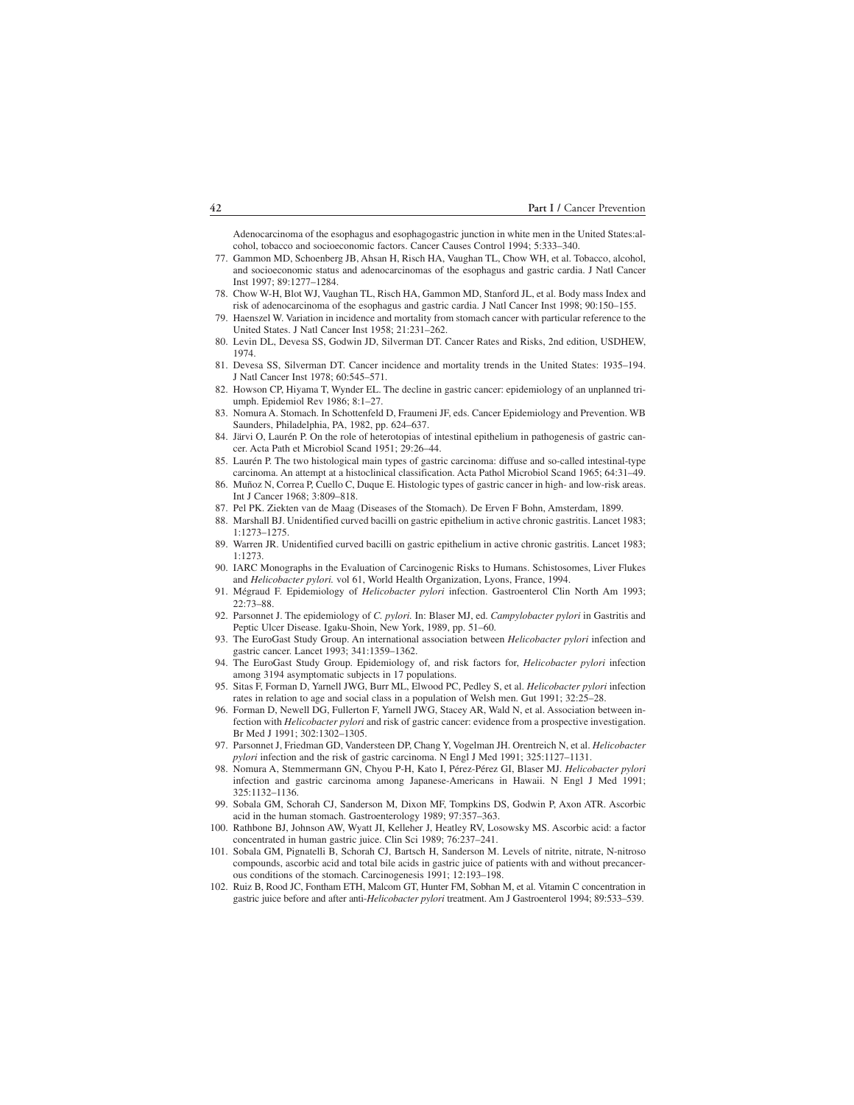Adenocarcinoma of the esophagus and esophagogastric junction in white men in the United States:alcohol, tobacco and socioeconomic factors. Cancer Causes Control 1994; 5:333–340.

- 077. Gammon MD, Schoenberg JB, Ahsan H, Risch HA, Vaughan TL, Chow WH, et al. Tobacco, alcohol, and socioeconomic status and adenocarcinomas of the esophagus and gastric cardia. J Natl Cancer Inst 1997; 89:1277–1284.
- 078. Chow W-H, Blot WJ, Vaughan TL, Risch HA, Gammon MD, Stanford JL, et al. Body mass Index and risk of adenocarcinoma of the esophagus and gastric cardia. J Natl Cancer Inst 1998; 90:150–155.
- 079. Haenszel W. Variation in incidence and mortality from stomach cancer with particular reference to the United States. J Natl Cancer Inst 1958; 21:231–262.
- 080. Levin DL, Devesa SS, Godwin JD, Silverman DT. Cancer Rates and Risks, 2nd edition, USDHEW, 1974.
- 081. Devesa SS, Silverman DT. Cancer incidence and mortality trends in the United States: 1935–194. J Natl Cancer Inst 1978; 60:545–571.
- 082. Howson CP, Hiyama T, Wynder EL. The decline in gastric cancer: epidemiology of an unplanned triumph. Epidemiol Rev 1986; 8:1–27.
- 083. Nomura A. Stomach. In Schottenfeld D, Fraumeni JF, eds. Cancer Epidemiology and Prevention. WB Saunders, Philadelphia, PA, 1982, pp. 624–637.
- 084. Järvi O, Laurén P. On the role of heterotopias of intestinal epithelium in pathogenesis of gastric cancer. Acta Path et Microbiol Scand 1951; 29:26–44.
- 085. Laurén P. The two histological main types of gastric carcinoma: diffuse and so-called intestinal-type carcinoma. An attempt at a histoclinical classification. Acta Pathol Microbiol Scand 1965; 64:31–49.
- 086. Muñoz N, Correa P, Cuello C, Duque E. Histologic types of gastric cancer in high- and low-risk areas. Int J Cancer 1968; 3:809–818.
- 087. Pel PK. Ziekten van de Maag (Diseases of the Stomach). De Erven F Bohn, Amsterdam, 1899.
- 088. Marshall BJ. Unidentified curved bacilli on gastric epithelium in active chronic gastritis. Lancet 1983; 1:1273–1275.
- 089. Warren JR. Unidentified curved bacilli on gastric epithelium in active chronic gastritis. Lancet 1983; 1:1273.
- 090. IARC Monographs in the Evaluation of Carcinogenic Risks to Humans. Schistosomes, Liver Flukes and *Helicobacter pylori.* vol 61, World Health Organization, Lyons, France, 1994.
- 091. Mégraud F. Epidemiology of *Helicobacter pylori* infection. Gastroenterol Clin North Am 1993; 22:73–88.
- 092. Parsonnet J. The epidemiology of *C. pylori.* In: Blaser MJ, ed. *Campylobacter pylori* in Gastritis and Peptic Ulcer Disease. Igaku-Shoin, New York, 1989, pp. 51–60.
- 093. The EuroGast Study Group. An international association between *Helicobacter pylori* infection and gastric cancer. Lancet 1993; 341:1359–1362.
- 094. The EuroGast Study Group. Epidemiology of, and risk factors for, *Helicobacter pylori* infection among 3194 asymptomatic subjects in 17 populations.
- 095. Sitas F, Forman D, Yarnell JWG, Burr ML, Elwood PC, Pedley S, et al. *Helicobacter pylori* infection rates in relation to age and social class in a population of Welsh men. Gut 1991; 32:25–28.
- 096. Forman D, Newell DG, Fullerton F, Yarnell JWG, Stacey AR, Wald N, et al. Association between infection with *Helicobacter pylori* and risk of gastric cancer: evidence from a prospective investigation. Br Med J 1991; 302:1302–1305.
- 097. Parsonnet J, Friedman GD, Vandersteen DP, Chang Y, Vogelman JH. Orentreich N, et al. *Helicobacter pylori* infection and the risk of gastric carcinoma. N Engl J Med 1991; 325:1127–1131.
- 098. Nomura A, Stemmermann GN, Chyou P-H, Kato I, Pérez-Pérez GI, Blaser MJ. *Helicobacter pylori* infection and gastric carcinoma among Japanese-Americans in Hawaii. N Engl J Med 1991; 325:1132–1136.
- 099. Sobala GM, Schorah CJ, Sanderson M, Dixon MF, Tompkins DS, Godwin P, Axon ATR. Ascorbic acid in the human stomach. Gastroenterology 1989; 97:357–363.
- 100. Rathbone BJ, Johnson AW, Wyatt JI, Kelleher J, Heatley RV, Losowsky MS. Ascorbic acid: a factor concentrated in human gastric juice. Clin Sci 1989; 76:237–241.
- 101. Sobala GM, Pignatelli B, Schorah CJ, Bartsch H, Sanderson M. Levels of nitrite, nitrate, N-nitroso compounds, ascorbic acid and total bile acids in gastric juice of patients with and without precancerous conditions of the stomach. Carcinogenesis 1991; 12:193–198.
- 102. Ruiz B, Rood JC, Fontham ETH, Malcom GT, Hunter FM, Sobhan M, et al. Vitamin C concentration in gastric juice before and after anti-*Helicobacter pylori* treatment. Am J Gastroenterol 1994; 89:533–539.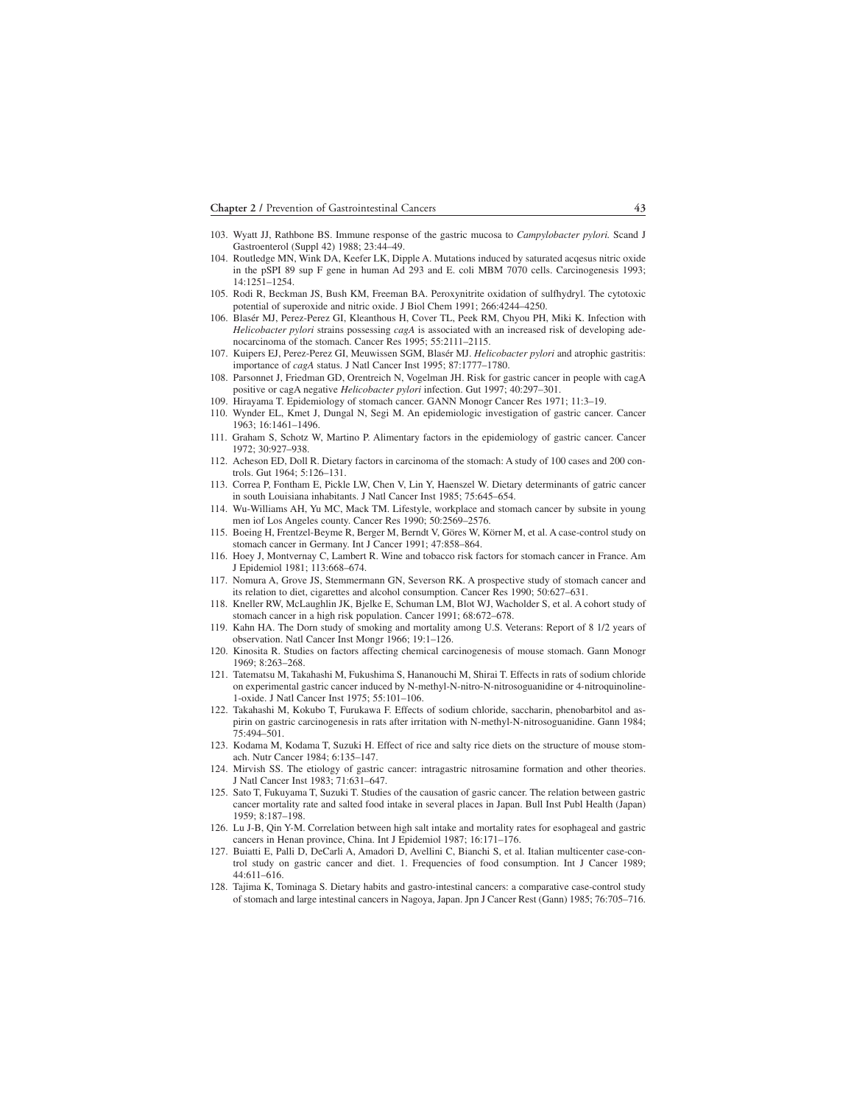- 103. Wyatt JJ, Rathbone BS. Immune response of the gastric mucosa to *Campylobacter pylori.* Scand J Gastroenterol (Suppl 42) 1988; 23:44–49.
- 104. Routledge MN, Wink DA, Keefer LK, Dipple A. Mutations induced by saturated acqesus nitric oxide in the pSPI 89 sup F gene in human Ad 293 and E. coli MBM 7070 cells. Carcinogenesis 1993; 14:1251–1254.
- 105. Rodi R, Beckman JS, Bush KM, Freeman BA. Peroxynitrite oxidation of sulfhydryl. The cytotoxic potential of superoxide and nitric oxide. J Biol Chem 1991; 266:4244–4250.
- 106. Blasér MJ, Perez-Perez GI, Kleanthous H, Cover TL, Peek RM, Chyou PH, Miki K. Infection with *Helicobacter pylori* strains possessing *cagA* is associated with an increased risk of developing adenocarcinoma of the stomach. Cancer Res 1995; 55:2111–2115.
- 107. Kuipers EJ, Perez-Perez GI, Meuwissen SGM, Blasér MJ. *Helicobacter pylori* and atrophic gastritis: importance of *cagA* status. J Natl Cancer Inst 1995; 87:1777–1780.
- 108. Parsonnet J, Friedman GD, Orentreich N, Vogelman JH. Risk for gastric cancer in people with cagA positive or cagA negative *Helicobacter pylori* infection. Gut 1997; 40:297–301.
- 109. Hirayama T. Epidemiology of stomach cancer. GANN Monogr Cancer Res 1971; 11:3–19.
- 110. Wynder EL, Kmet J, Dungal N, Segi M. An epidemiologic investigation of gastric cancer. Cancer 1963; 16:1461–1496.
- 111. Graham S, Schotz W, Martino P. Alimentary factors in the epidemiology of gastric cancer. Cancer 1972; 30:927–938.
- 112. Acheson ED, Doll R. Dietary factors in carcinoma of the stomach: A study of 100 cases and 200 controls. Gut 1964; 5:126–131.
- 113. Correa P, Fontham E, Pickle LW, Chen V, Lin Y, Haenszel W. Dietary determinants of gatric cancer in south Louisiana inhabitants. J Natl Cancer Inst 1985; 75:645–654.
- 114. Wu-Williams AH, Yu MC, Mack TM. Lifestyle, workplace and stomach cancer by subsite in young men iof Los Angeles county. Cancer Res 1990; 50:2569–2576.
- 115. Boeing H, Frentzel-Beyme R, Berger M, Berndt V, Göres W, Körner M, et al. A case-control study on stomach cancer in Germany. Int J Cancer 1991; 47:858–864.
- 116. Hoey J, Montvernay C, Lambert R. Wine and tobacco risk factors for stomach cancer in France. Am J Epidemiol 1981; 113:668–674.
- 117. Nomura A, Grove JS, Stemmermann GN, Severson RK. A prospective study of stomach cancer and its relation to diet, cigarettes and alcohol consumption. Cancer Res 1990; 50:627–631.
- 118. Kneller RW, McLaughlin JK, Bjelke E, Schuman LM, Blot WJ, Wacholder S, et al. A cohort study of stomach cancer in a high risk population. Cancer 1991; 68:672–678.
- 119. Kahn HA. The Dorn study of smoking and mortality among U.S. Veterans: Report of 8 1/2 years of observation. Natl Cancer Inst Mongr 1966; 19:1–126.
- 120. Kinosita R. Studies on factors affecting chemical carcinogenesis of mouse stomach. Gann Monogr 1969; 8:263–268.
- 121. Tatematsu M, Takahashi M, Fukushima S, Hananouchi M, Shirai T. Effects in rats of sodium chloride on experimental gastric cancer induced by N-methyl-N-nitro-N-nitrosoguanidine or 4-nitroquinoline-1-oxide. J Natl Cancer Inst 1975; 55:101–106.
- 122. Takahashi M, Kokubo T, Furukawa F. Effects of sodium chloride, saccharin, phenobarbitol and aspirin on gastric carcinogenesis in rats after irritation with N-methyl-N-nitrosoguanidine. Gann 1984; 75:494–501.
- 123. Kodama M, Kodama T, Suzuki H. Effect of rice and salty rice diets on the structure of mouse stomach. Nutr Cancer 1984; 6:135–147.
- 124. Mirvish SS. The etiology of gastric cancer: intragastric nitrosamine formation and other theories. J Natl Cancer Inst 1983; 71:631–647.
- 125. Sato T, Fukuyama T, Suzuki T. Studies of the causation of gasric cancer. The relation between gastric cancer mortality rate and salted food intake in several places in Japan. Bull Inst Publ Health (Japan) 1959; 8:187–198.
- 126. Lu J-B, Qin Y-M. Correlation between high salt intake and mortality rates for esophageal and gastric cancers in Henan province, China. Int J Epidemiol 1987; 16:171–176.
- 127. Buiatti E, Palli D, DeCarli A, Amadori D, Avellini C, Bianchi S, et al. Italian multicenter case-control study on gastric cancer and diet. 1. Frequencies of food consumption. Int J Cancer 1989; 44:611–616.
- 128. Tajima K, Tominaga S. Dietary habits and gastro-intestinal cancers: a comparative case-control study of stomach and large intestinal cancers in Nagoya, Japan. Jpn J Cancer Rest (Gann) 1985; 76:705–716.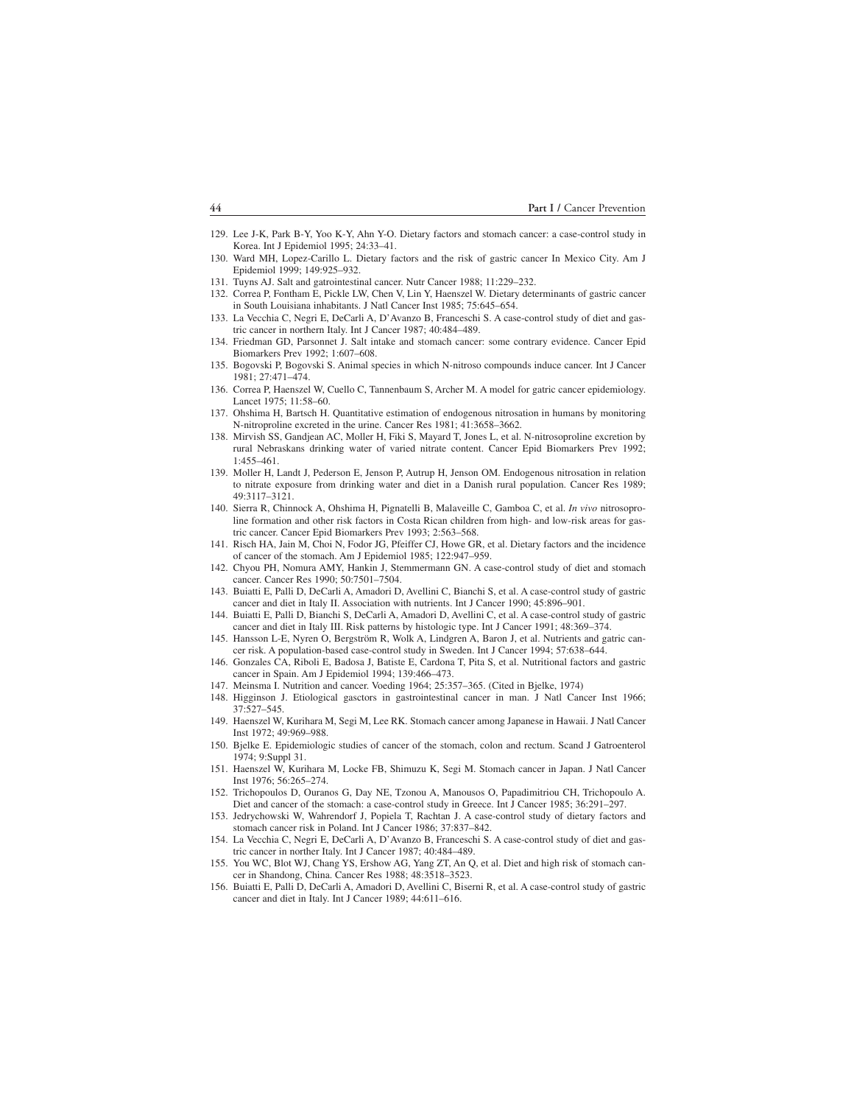- 129. Lee J-K, Park B-Y, Yoo K-Y, Ahn Y-O. Dietary factors and stomach cancer: a case-control study in Korea. Int J Epidemiol 1995; 24:33–41.
- 130. Ward MH, Lopez-Carillo L. Dietary factors and the risk of gastric cancer In Mexico City. Am J Epidemiol 1999; 149:925–932.
- 131. Tuyns AJ. Salt and gatrointestinal cancer. Nutr Cancer 1988; 11:229–232.
- 132. Correa P, Fontham E, Pickle LW, Chen V, Lin Y, Haenszel W. Dietary determinants of gastric cancer in South Louisiana inhabitants. J Natl Cancer Inst 1985; 75:645–654.
- 133. La Vecchia C, Negri E, DeCarli A, D'Avanzo B, Franceschi S. A case-control study of diet and gastric cancer in northern Italy. Int J Cancer 1987; 40:484–489.
- 134. Friedman GD, Parsonnet J. Salt intake and stomach cancer: some contrary evidence. Cancer Epid Biomarkers Prev 1992; 1:607–608.
- 135. Bogovski P, Bogovski S. Animal species in which N-nitroso compounds induce cancer. Int J Cancer 1981; 27:471–474.
- 136. Correa P, Haenszel W, Cuello C, Tannenbaum S, Archer M. A model for gatric cancer epidemiology. Lancet 1975; 11:58–60.
- 137. Ohshima H, Bartsch H. Quantitative estimation of endogenous nitrosation in humans by monitoring N-nitroproline excreted in the urine. Cancer Res 1981; 41:3658–3662.
- 138. Mirvish SS, Gandjean AC, Moller H, Fiki S, Mayard T, Jones L, et al. N-nitrosoproline excretion by rural Nebraskans drinking water of varied nitrate content. Cancer Epid Biomarkers Prev 1992; 1:455–461.
- 139. Moller H, Landt J, Pederson E, Jenson P, Autrup H, Jenson OM. Endogenous nitrosation in relation to nitrate exposure from drinking water and diet in a Danish rural population. Cancer Res 1989; 49:3117–3121.
- 140. Sierra R, Chinnock A, Ohshima H, Pignatelli B, Malaveille C, Gamboa C, et al. *In vivo* nitrosoproline formation and other risk factors in Costa Rican children from high- and low-risk areas for gastric cancer. Cancer Epid Biomarkers Prev 1993; 2:563–568.
- 141. Risch HA, Jain M, Choi N, Fodor JG, Pfeiffer CJ, Howe GR, et al. Dietary factors and the incidence of cancer of the stomach. Am J Epidemiol 1985; 122:947–959.
- 142. Chyou PH, Nomura AMY, Hankin J, Stemmermann GN. A case-control study of diet and stomach cancer. Cancer Res 1990; 50:7501–7504.
- 143. Buiatti E, Palli D, DeCarli A, Amadori D, Avellini C, Bianchi S, et al. A case-control study of gastric cancer and diet in Italy II. Association with nutrients. Int J Cancer 1990; 45:896–901.
- 144. Buiatti E, Palli D, Bianchi S, DeCarli A, Amadori D, Avellini C, et al. A case-control study of gastric cancer and diet in Italy III. Risk patterns by histologic type. Int J Cancer 1991; 48:369–374.
- 145. Hansson L-E, Nyren O, Bergström R, Wolk A, Lindgren A, Baron J, et al. Nutrients and gatric cancer risk. A population-based case-control study in Sweden. Int J Cancer 1994; 57:638–644.
- 146. Gonzales CA, Riboli E, Badosa J, Batiste E, Cardona T, Pita S, et al. Nutritional factors and gastric cancer in Spain. Am J Epidemiol 1994; 139:466–473.
- 147. Meinsma I. Nutrition and cancer. Voeding 1964; 25:357–365. (Cited in Bjelke, 1974)
- 148. Higginson J. Etiological gasctors in gastrointestinal cancer in man. J Natl Cancer Inst 1966; 37:527–545.
- 149. Haenszel W, Kurihara M, Segi M, Lee RK. Stomach cancer among Japanese in Hawaii. J Natl Cancer Inst 1972; 49:969–988.
- 150. Bjelke E. Epidemiologic studies of cancer of the stomach, colon and rectum. Scand J Gatroenterol 1974; 9:Suppl 31.
- 151. Haenszel W, Kurihara M, Locke FB, Shimuzu K, Segi M. Stomach cancer in Japan. J Natl Cancer Inst 1976; 56:265–274.
- 152. Trichopoulos D, Ouranos G, Day NE, Tzonou A, Manousos O, Papadimitriou CH, Trichopoulo A. Diet and cancer of the stomach: a case-control study in Greece. Int J Cancer 1985; 36:291–297.
- 153. Jedrychowski W, Wahrendorf J, Popiela T, Rachtan J. A case-control study of dietary factors and stomach cancer risk in Poland. Int J Cancer 1986; 37:837–842.
- 154. La Vecchia C, Negri E, DeCarli A, D'Avanzo B, Franceschi S. A case-control study of diet and gastric cancer in norther Italy. Int J Cancer 1987; 40:484–489.
- 155. You WC, Blot WJ, Chang YS, Ershow AG, Yang ZT, An Q, et al. Diet and high risk of stomach cancer in Shandong, China. Cancer Res 1988; 48:3518–3523.
- 156. Buiatti E, Palli D, DeCarli A, Amadori D, Avellini C, Biserni R, et al. A case-control study of gastric cancer and diet in Italy. Int J Cancer 1989; 44:611–616.